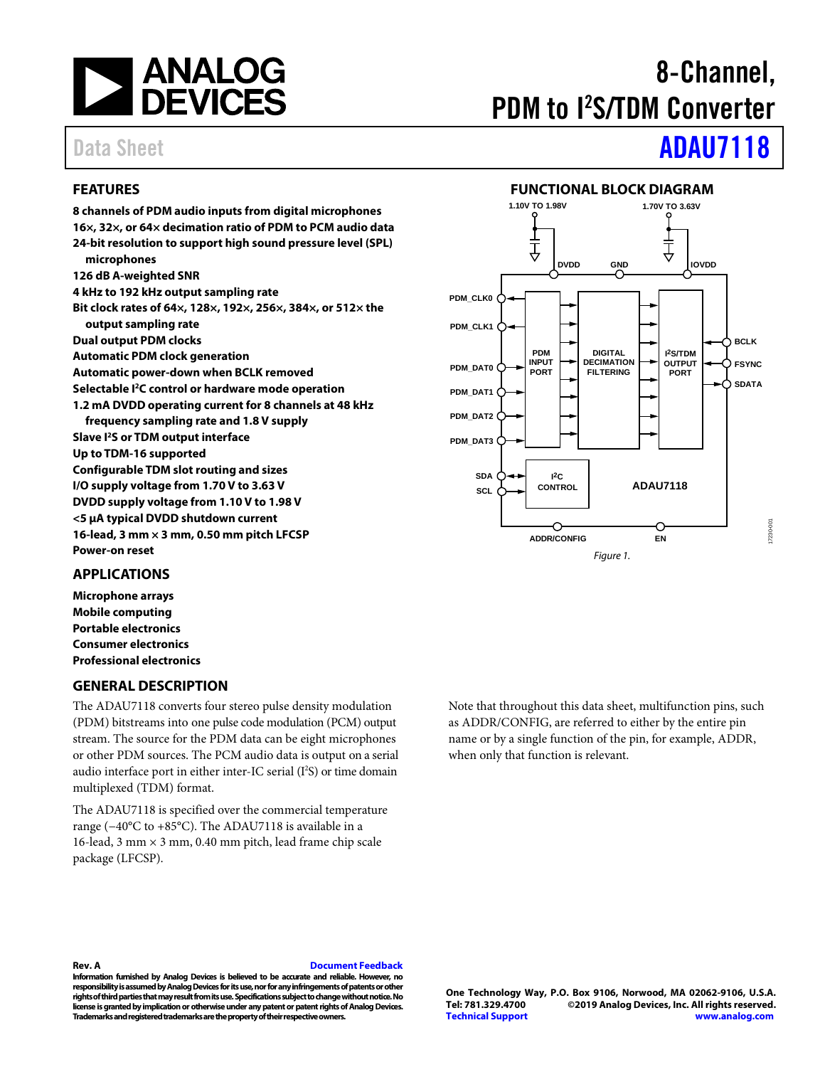

# 8-Channel, PDM to I 2 S/TDM Converter

# Data Sheet **[ADAU7118](https://www.analog.com/ADAU7118?doc=ADAU7118.pdf)**

### <span id="page-0-0"></span>**FEATURES**

**8 channels of PDM audio inputs from digital microphones 16×, 32×, or 64× decimation ratio of PDM to PCM audio data 24-bit resolution to support high sound pressure level (SPL) microphones 126 dB A-weighted SNR 4 kHz to 192 kHz output sampling rate Bit clock rates of 64×, 128×, 192×, 256×, 384×, or 512× the output sampling rate Dual output PDM clocks Automatic PDM clock generation Automatic power-down when BCLK removed Selectable I2C control or hardware mode operation 1.2 mA DVDD operating current for 8 channels at 48 kHz frequency sampling rate and 1.8 V supply Slave I2S or TDM output interface Up to TDM-16 supported Configurable TDM slot routing and sizes I/O supply voltage from 1.70 V to 3.63 V DVDD supply voltage from 1.10 V to 1.98 V <5 μA typical DVDD shutdown current 16-lead, 3 mm × 3 mm, 0.50 mm pitch LFCSP Power-on reset**

<span id="page-0-2"></span>

### <span id="page-0-1"></span>**APPLICATIONS**

**Microphone arrays Mobile computing Portable electronics Consumer electronics Professional electronics**

### <span id="page-0-3"></span>**GENERAL DESCRIPTION**

The ADAU7118 converts four stereo pulse density modulation (PDM) bitstreams into one pulse code modulation (PCM) output stream. The source for the PDM data can be eight microphones or other PDM sources. The PCM audio data is output on a serial audio interface port in either inter-IC serial (I 2 S) or time domain multiplexed (TDM) format.

The ADAU7118 is specified over the commercial temperature range (−40°C to +85°C). The ADAU7118 is available in a 16-lead, 3 mm  $\times$  3 mm, 0.40 mm pitch, lead frame chip scale package (LFCSP).

Note that throughout this data sheet, multifunction pins, such as ADDR/CONFIG, are referred to either by the entire pin name or by a single function of the pin, for example, ADDR, when only that function is relevant.

**Rev. A [Document Feedback](https://form.analog.com/Form_Pages/feedback/documentfeedback.aspx?doc=ADAU7118.pdf&product=ADAU7118&rev=A)**

**Information furnished by Analog Devices is believed to be accurate and reliable. However, no responsibility is assumed by Analog Devices for its use, nor for any infringements of patents or other rights of third parties that may result fromits use. Specifications subject to change without notice. No license is granted by implication or otherwise under any patent or patent rights of Analog Devices. Trademarks and registered trademarks are the property of their respective owners.**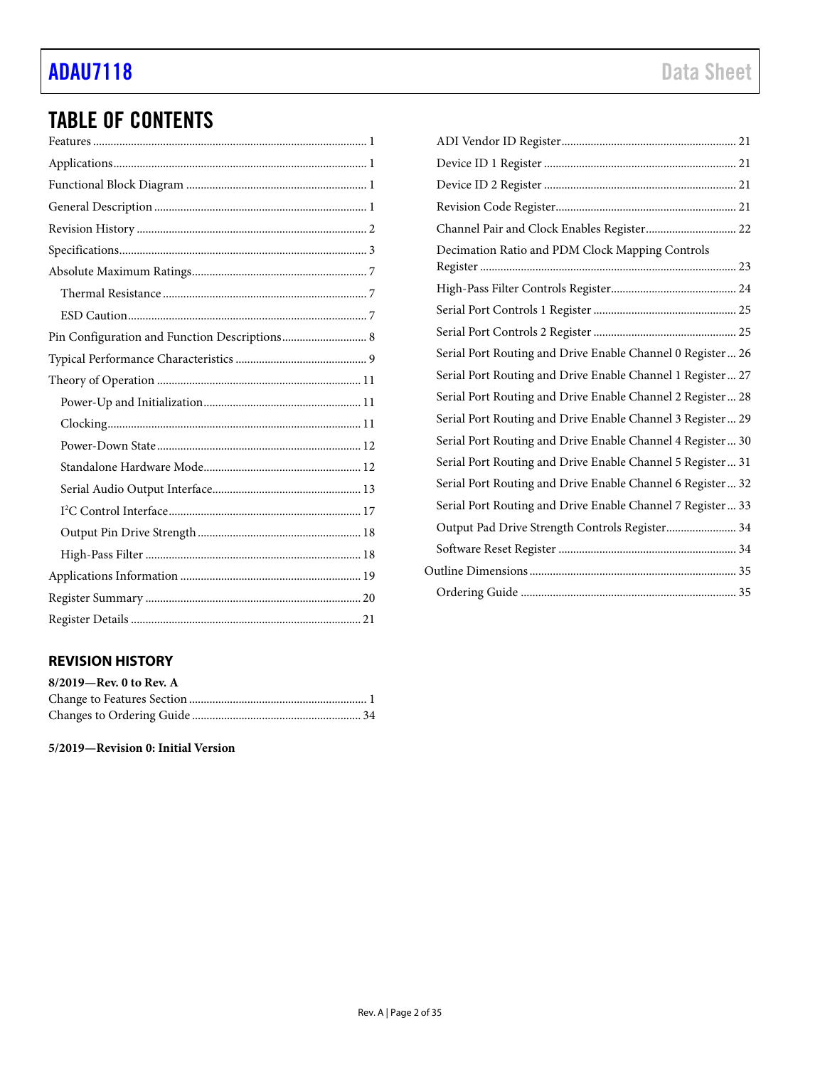## [ADAU7118](https://www.analog.com/ADAU7118?doc=ADAU7118.pdf) Data Sheet

## TABLE OF CONTENTS

### <span id="page-1-0"></span>**REVISION HISTORY**

| 8/2019-Rev. 0 to Rev. A |  |
|-------------------------|--|
|                         |  |
|                         |  |

**5/2019—Revision 0: Initial Version**

| Channel Pair and Clock Enables Register 22                  |  |
|-------------------------------------------------------------|--|
| Decimation Ratio and PDM Clock Mapping Controls             |  |
|                                                             |  |
|                                                             |  |
|                                                             |  |
| Serial Port Routing and Drive Enable Channel 0 Register  26 |  |
| Serial Port Routing and Drive Enable Channel 1 Register 27  |  |
| Serial Port Routing and Drive Enable Channel 2 Register 28  |  |
| Serial Port Routing and Drive Enable Channel 3 Register 29  |  |
| Serial Port Routing and Drive Enable Channel 4 Register 30  |  |
| Serial Port Routing and Drive Enable Channel 5 Register 31  |  |
| Serial Port Routing and Drive Enable Channel 6 Register 32  |  |
| Serial Port Routing and Drive Enable Channel 7 Register 33  |  |
| Output Pad Drive Strength Controls Register 34              |  |
|                                                             |  |
|                                                             |  |
|                                                             |  |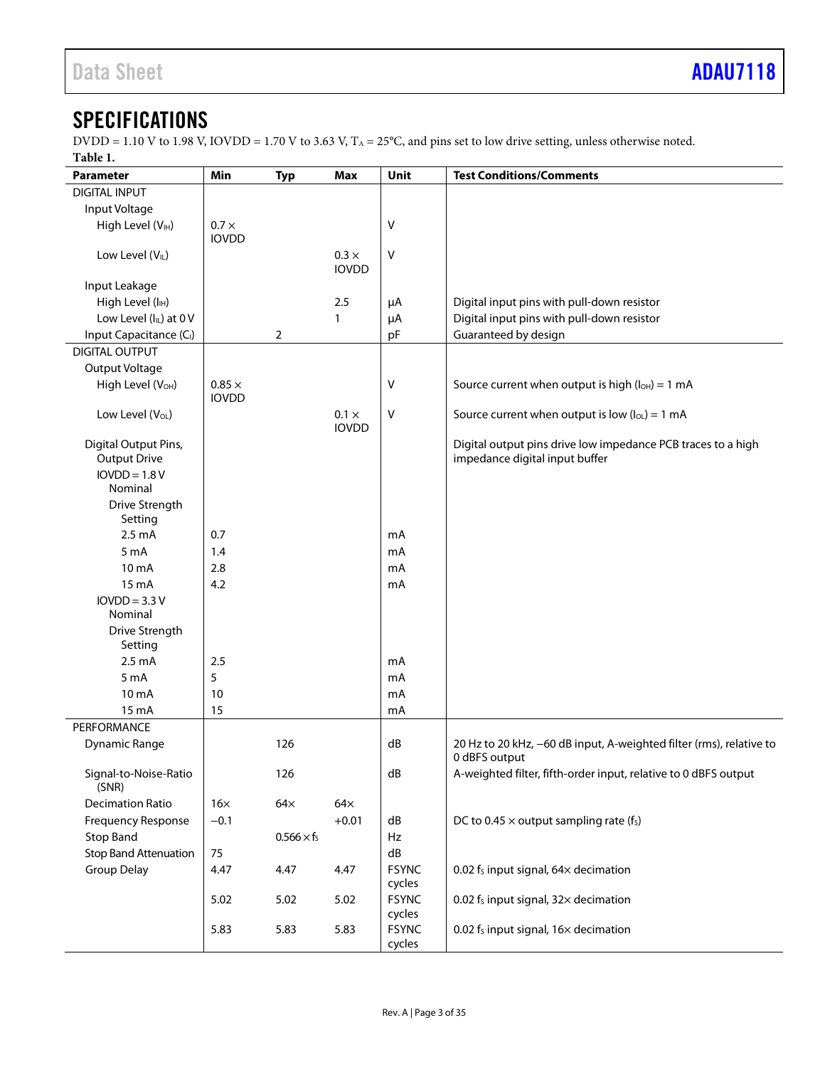### <span id="page-2-0"></span>**SPECIFICATIONS**

DVDD = 1.10 V to 1.98 V, IOVDD = 1.70 V to 3.63 V,  $T_A = 25^{\circ}$ C, and pins set to low drive setting, unless otherwise noted. **Table 1.** 

<span id="page-2-1"></span>

| 1 avit 1.                              |               |                    |                              | Unit         | <b>Test Conditions/Comments</b>                                                                |
|----------------------------------------|---------------|--------------------|------------------------------|--------------|------------------------------------------------------------------------------------------------|
| Parameter                              | Min           | <b>Typ</b>         | <b>Max</b>                   |              |                                                                                                |
| <b>DIGITAL INPUT</b>                   |               |                    |                              |              |                                                                                                |
| Input Voltage                          |               |                    |                              |              |                                                                                                |
| High Level (VIH)                       | $0.7 \times$  |                    |                              | $\sf V$      |                                                                                                |
|                                        | <b>IOVDD</b>  |                    |                              |              |                                                                                                |
| Low Level $(VIL)$                      |               |                    | $0.3 \times$<br><b>IOVDD</b> | $\sf V$      |                                                                                                |
|                                        |               |                    |                              |              |                                                                                                |
| Input Leakage                          |               |                    |                              |              |                                                                                                |
| High Level (IH)                        |               |                    | 2.5                          | μA           | Digital input pins with pull-down resistor                                                     |
| Low Level (ILL) at 0 V                 |               |                    | $\mathbf{1}$                 | μA           | Digital input pins with pull-down resistor                                                     |
| Input Capacitance (C <sub>I</sub> )    |               | $\overline{2}$     |                              | pF           | Guaranteed by design                                                                           |
| <b>DIGITAL OUTPUT</b>                  |               |                    |                              |              |                                                                                                |
| Output Voltage                         |               |                    |                              |              |                                                                                                |
| High Level (VOH)                       | $0.85 \times$ |                    |                              | V            | Source current when output is high $(I_{OH}) = 1$ mA                                           |
|                                        | <b>IOVDD</b>  |                    |                              |              |                                                                                                |
| Low Level (V <sub>OL</sub> )           |               |                    | $0.1 \times$                 | V            | Source current when output is low $(I_{OL}) = 1$ mA                                            |
|                                        |               |                    | <b>IOVDD</b>                 |              |                                                                                                |
| Digital Output Pins,                   |               |                    |                              |              | Digital output pins drive low impedance PCB traces to a high<br>impedance digital input buffer |
| <b>Output Drive</b><br>$IOVDD = 1.8 V$ |               |                    |                              |              |                                                                                                |
| Nominal                                |               |                    |                              |              |                                                                                                |
| Drive Strength                         |               |                    |                              |              |                                                                                                |
| Setting                                |               |                    |                              |              |                                                                                                |
| 2.5 <sub>m</sub> A                     | 0.7           |                    |                              | mA           |                                                                                                |
| 5 <sub>m</sub> A                       | 1.4           |                    |                              | mA           |                                                                                                |
| 10 mA                                  | 2.8           |                    |                              | mA           |                                                                                                |
| $15 \text{ mA}$                        | 4.2           |                    |                              | mA           |                                                                                                |
| $IOVDD = 3.3 V$                        |               |                    |                              |              |                                                                                                |
| Nominal                                |               |                    |                              |              |                                                                                                |
| Drive Strength                         |               |                    |                              |              |                                                                                                |
| Setting                                |               |                    |                              |              |                                                                                                |
| 2.5 <sub>m</sub> A                     | 2.5           |                    |                              | mA           |                                                                                                |
| 5 <sub>m</sub> A                       | 5             |                    |                              | mA           |                                                                                                |
| 10 mA                                  | 10            |                    |                              | mA           |                                                                                                |
| 15 mA                                  | 15            |                    |                              | mA           |                                                                                                |
| PERFORMANCE                            |               |                    |                              |              |                                                                                                |
| <b>Dynamic Range</b>                   |               | 126                |                              | dB           | 20 Hz to 20 kHz, -60 dB input, A-weighted filter (rms), relative to                            |
|                                        |               |                    |                              |              | 0 dBFS output                                                                                  |
| Signal-to-Noise-Ratio                  |               | 126                |                              | ${\sf dB}$   | A-weighted filter, fifth-order input, relative to 0 dBFS output                                |
| (SNR)                                  |               |                    |                              |              |                                                                                                |
| <b>Decimation Ratio</b>                | $16\times$    | $64\times$         | $64\times$                   |              |                                                                                                |
| Frequency Response                     | $-0.1$        |                    | $+0.01$                      | dB           | DC to 0.45 $\times$ output sampling rate (f <sub>s</sub> )                                     |
| <b>Stop Band</b>                       |               | $0.566 \times f_s$ |                              | Hz           |                                                                                                |
| <b>Stop Band Attenuation</b>           | 75            |                    |                              | dB           |                                                                                                |
| <b>Group Delay</b>                     | 4.47          | 4.47               | 4.47                         | <b>FSYNC</b> | 0.02 $f_s$ input signal, 64 $\times$ decimation                                                |
|                                        |               |                    |                              | cycles       |                                                                                                |
|                                        | 5.02          | 5.02               | 5.02                         | <b>FSYNC</b> | 0.02 fs input signal, 32x decimation                                                           |
|                                        |               |                    |                              | cycles       |                                                                                                |
|                                        | 5.83          | 5.83               | 5.83                         | <b>FSYNC</b> | 0.02 fs input signal, 16x decimation                                                           |
|                                        |               |                    |                              | cycles       |                                                                                                |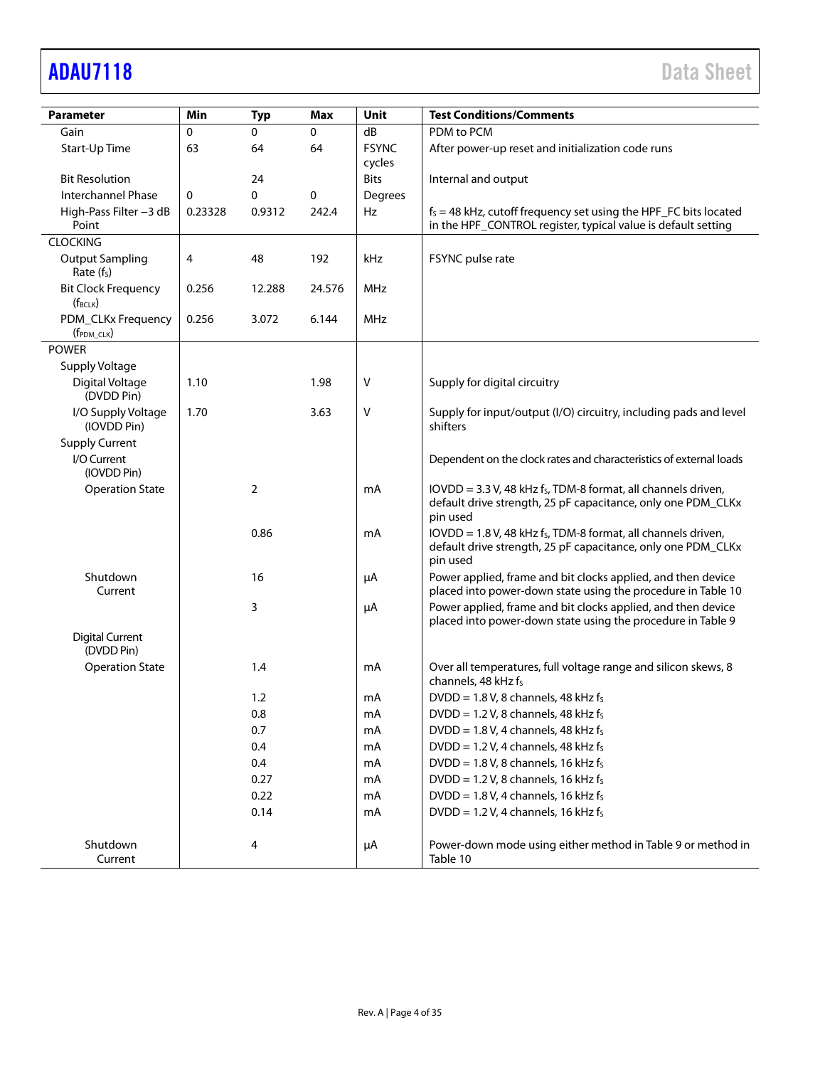## [ADAU7118](https://www.analog.com/ADAU7118?doc=ADAU7118.pdf) Data Sheet

|                                                  | Min     |            | Max    | <b>Unit</b>            | <b>Test Conditions/Comments</b>                                                                                                                          |
|--------------------------------------------------|---------|------------|--------|------------------------|----------------------------------------------------------------------------------------------------------------------------------------------------------|
| <b>Parameter</b>                                 |         | <b>Typ</b> |        |                        |                                                                                                                                                          |
| Gain                                             | 0       | 0          | 0      | dB                     | PDM to PCM                                                                                                                                               |
| Start-Up Time                                    | 63      | 64         | 64     | <b>FSYNC</b><br>cycles | After power-up reset and initialization code runs                                                                                                        |
| <b>Bit Resolution</b>                            |         | 24         |        | <b>Bits</b>            | Internal and output                                                                                                                                      |
| <b>Interchannel Phase</b>                        | 0       | 0          | 0      | Degrees                |                                                                                                                                                          |
| High-Pass Filter -3 dB                           | 0.23328 | 0.9312     | 242.4  | Hz                     | $f_s = 48$ kHz, cutoff frequency set using the HPF_FC bits located                                                                                       |
| Point                                            |         |            |        |                        | in the HPF_CONTROL register, typical value is default setting                                                                                            |
| <b>CLOCKING</b>                                  |         |            |        |                        |                                                                                                                                                          |
| <b>Output Sampling</b><br>Rate (f <sub>s</sub> ) | 4       | 48         | 192    | kHz                    | FSYNC pulse rate                                                                                                                                         |
| <b>Bit Clock Frequency</b><br>$(f_{BCLK})$       | 0.256   | 12.288     | 24.576 | MHz                    |                                                                                                                                                          |
| PDM_CLKx Frequency                               | 0.256   | 3.072      | 6.144  | MHz                    |                                                                                                                                                          |
| $(f_{PDM\_CLK})$                                 |         |            |        |                        |                                                                                                                                                          |
| <b>POWER</b>                                     |         |            |        |                        |                                                                                                                                                          |
| Supply Voltage                                   |         |            |        |                        |                                                                                                                                                          |
| Digital Voltage<br>(DVDD Pin)                    | 1.10    |            | 1.98   | V                      | Supply for digital circuitry                                                                                                                             |
| I/O Supply Voltage<br>(IOVDD Pin)                | 1.70    |            | 3.63   | ٧                      | Supply for input/output (I/O) circuitry, including pads and level<br>shifters                                                                            |
| <b>Supply Current</b>                            |         |            |        |                        |                                                                                                                                                          |
| I/O Current                                      |         |            |        |                        |                                                                                                                                                          |
| (IOVDD Pin)                                      |         |            |        |                        | Dependent on the clock rates and characteristics of external loads                                                                                       |
| <b>Operation State</b>                           |         | 2          |        | mA                     | IOVDD = 3.3 V, 48 kHz fs, TDM-8 format, all channels driven,<br>default drive strength, 25 pF capacitance, only one PDM_CLKx<br>pin used                 |
|                                                  |         | 0.86       |        | mA                     | $IOVDD = 1.8 V$ , 48 kHz f <sub>s</sub> , TDM-8 format, all channels driven,<br>default drive strength, 25 pF capacitance, only one PDM_CLKx<br>pin used |
| Shutdown                                         |         | 16         |        | μA                     | Power applied, frame and bit clocks applied, and then device                                                                                             |
| Current                                          |         |            |        |                        | placed into power-down state using the procedure in Table 10                                                                                             |
|                                                  |         | 3          |        | μA                     | Power applied, frame and bit clocks applied, and then device<br>placed into power-down state using the procedure in Table 9                              |
| <b>Digital Current</b><br>(DVDD Pin)             |         |            |        |                        |                                                                                                                                                          |
| <b>Operation State</b>                           |         | 1.4        |        | mA                     | Over all temperatures, full voltage range and silicon skews, 8<br>channels, 48 kHz fs                                                                    |
|                                                  |         | 1.2        |        | mA                     | DVDD = 1.8 V, 8 channels, 48 kHz $f_s$                                                                                                                   |
|                                                  |         | 0.8        |        | mA                     | $DVDD = 1.2 V$ , 8 channels, 48 kHz fs                                                                                                                   |
|                                                  |         | 0.7        |        | mA                     | $DVDD = 1.8 V$ , 4 channels, 48 kHz fs                                                                                                                   |
|                                                  |         | 0.4        |        | mA                     | DVDD = 1.2 V, 4 channels, 48 kHz $f_s$                                                                                                                   |
|                                                  |         | 0.4        |        | mA                     | DVDD = $1.8$ V, 8 channels, 16 kHz fs                                                                                                                    |
|                                                  |         | 0.27       |        | mA                     | DVDD = 1.2 V, 8 channels, 16 kHz $f_s$                                                                                                                   |
|                                                  |         |            |        |                        | $DVDD = 1.8 V$ , 4 channels, 16 kHz fs                                                                                                                   |
|                                                  |         | 0.22       |        | mA                     |                                                                                                                                                          |
|                                                  |         | 0.14       |        | mA                     | DVDD = 1.2 V, 4 channels, 16 kHz $f_s$                                                                                                                   |
| Shutdown<br>Current                              |         | 4          |        | μA                     | Power-down mode using either method in Table 9 or method in<br>Table 10                                                                                  |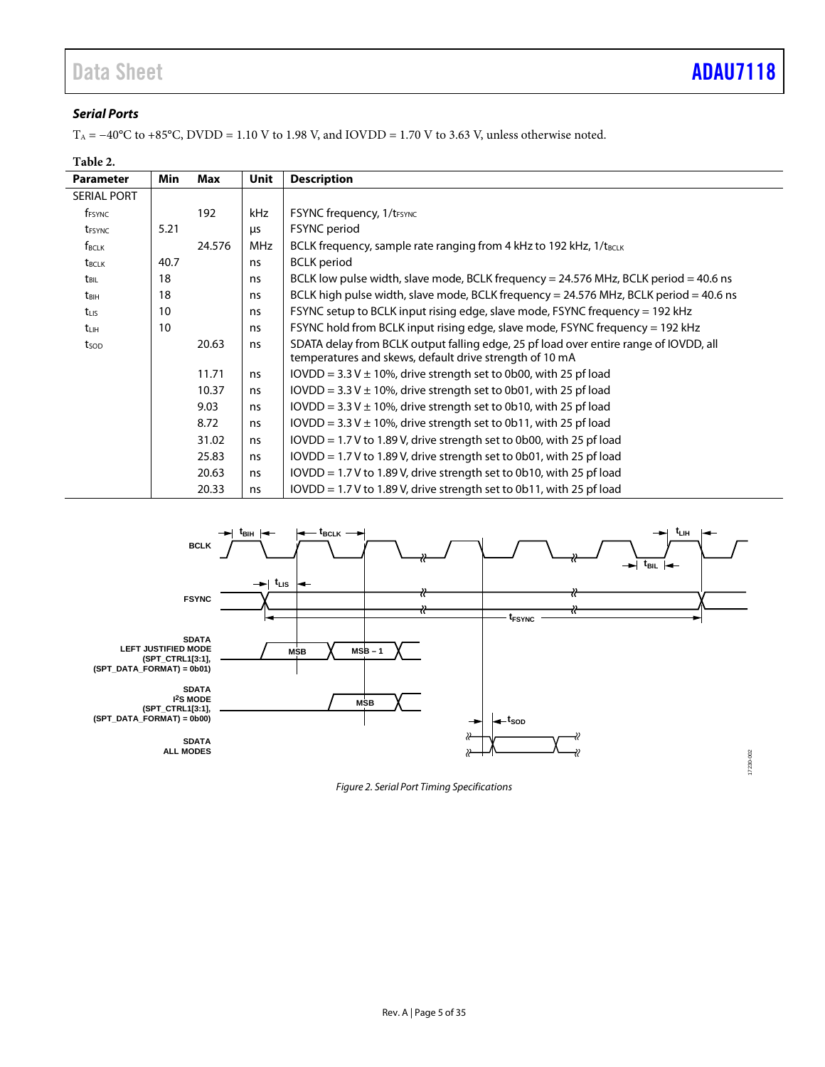### *Serial Ports*

T<sub>A</sub> = −40°C to +85°C, DVDD = 1.10 V to 1.98 V, and IOVDD = 1.70 V to 3.63 V, unless otherwise noted.

### **Table 2.**

| <b>Parameter</b>   | Min  | Max    | Unit       | <b>Description</b>                                                                                                                               |
|--------------------|------|--------|------------|--------------------------------------------------------------------------------------------------------------------------------------------------|
| <b>SERIAL PORT</b> |      |        |            |                                                                                                                                                  |
| f <sub>FSYNC</sub> |      | 192    | kHz        | <b>FSYNC frequency, 1/t</b> <sub>FSYNC</sub>                                                                                                     |
| t <sub>FSYNC</sub> | 5.21 |        | <b>LLS</b> | <b>FSYNC</b> period                                                                                                                              |
| $f_{BCLK}$         |      | 24.576 | <b>MHz</b> | BCLK frequency, sample rate ranging from 4 kHz to 192 kHz, 1/t <sub>BCLK</sub>                                                                   |
| t <sub>BCLK</sub>  | 40.7 |        | ns         | <b>BCLK</b> period                                                                                                                               |
| t <sub>BIL</sub>   | 18   |        | ns         | BCLK low pulse width, slave mode, BCLK frequency = 24.576 MHz, BCLK period = 40.6 ns                                                             |
| t <sub>BIH</sub>   | 18   |        | ns         | BCLK high pulse width, slave mode, BCLK frequency = 24.576 MHz, BCLK period = 40.6 ns                                                            |
| $t_{LIS}$          | 10   |        | ns         | FSYNC setup to BCLK input rising edge, slave mode, FSYNC frequency = 192 kHz                                                                     |
| tuh                | 10   |        | ns         | FSYNC hold from BCLK input rising edge, slave mode, FSYNC frequency = 192 kHz                                                                    |
| tsop               |      | 20.63  | ns         | SDATA delay from BCLK output falling edge, 25 pf load over entire range of IOVDD, all<br>temperatures and skews, default drive strength of 10 mA |
|                    |      | 11.71  | ns         | IOVDD = $3.3$ V $\pm$ 10%, drive strength set to 0b00, with 25 pf load                                                                           |
|                    |      | 10.37  | ns         | $IOVDD = 3.3 V ± 10%$ , drive strength set to 0b01, with 25 pf load                                                                              |
|                    |      | 9.03   | ns         | IOVDD = $3.3$ V $\pm$ 10%, drive strength set to 0b10, with 25 pf load                                                                           |
|                    |      | 8.72   | ns         | $IOVDD = 3.3 V ± 10%$ , drive strength set to 0b11, with 25 pf load                                                                              |
|                    |      | 31.02  | ns         | $IOVDD = 1.7 V$ to 1.89 V, drive strength set to 0b00, with 25 pf load                                                                           |
|                    |      | 25.83  | ns         | $IOVDD = 1.7 V$ to 1.89 V, drive strength set to 0b01, with 25 pf load                                                                           |
|                    |      | 20.63  | ns         | IOVDD = 1.7 V to 1.89 V, drive strength set to 0b10, with 25 pf load                                                                             |
|                    |      | 20.33  | ns         | $IOVDD = 1.7 V$ to 1.89 V, drive strength set to 0b11, with 25 pf load                                                                           |



*Figure 2. Serial Port Timing Specifications*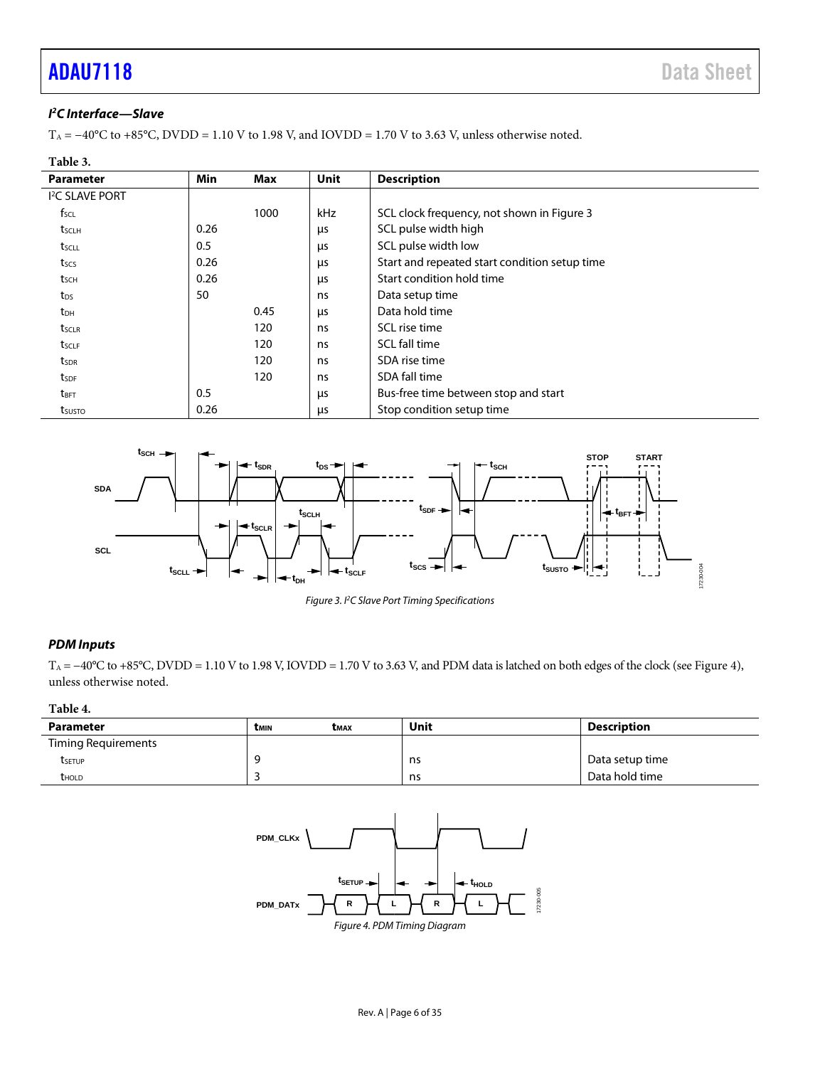## **[ADAU7118](https://www.analog.com/ADAU7118?doc=ADAU7118.pdf)** Data Sheet

### *I 2 C Interface—Slave*

T<sub>A</sub> = −40°C to +85°C, DVDD = 1.10 V to 1.98 V, and IOVDD = 1.70 V to 3.63 V, unless otherwise noted.

| Table 3.                  |            |      |             |                                               |  |
|---------------------------|------------|------|-------------|-----------------------------------------------|--|
| <b>Parameter</b>          | <b>Min</b> | Max  | <b>Unit</b> | <b>Description</b>                            |  |
| <sup>2</sup> C SLAVE PORT |            |      |             |                                               |  |
| $f_{\text{SCL}}$          |            | 1000 | <b>kHz</b>  | SCL clock frequency, not shown in Figure 3    |  |
| tsclh                     | 0.26       |      | μs          | SCL pulse width high                          |  |
| t <sub>scll</sub>         | 0.5        |      | μs          | SCL pulse width low                           |  |
| tscs                      | 0.26       |      | μs          | Start and repeated start condition setup time |  |
| tsch                      | 0.26       |      | μs          | Start condition hold time                     |  |
| t <sub>DS</sub>           | 50         |      | ns          | Data setup time                               |  |
| t <sub>DH</sub>           |            | 0.45 | μs          | Data hold time                                |  |
| tsclr                     |            | 120  | ns          | SCL rise time                                 |  |
| tsclf                     |            | 120  | ns          | SCL fall time                                 |  |
| tsdr                      |            | 120  | ns          | SDA rise time                                 |  |
| tsdf                      |            | 120  | ns          | SDA fall time                                 |  |
| t <sub>BFT</sub>          | 0.5        |      | μs          | Bus-free time between stop and start          |  |
| tsusto                    | 0.26       |      | μs          | Stop condition setup time                     |  |



*Figure 3. I2 C Slave Port Timing Specifications*

### <span id="page-5-0"></span>*PDM Inputs*

T<sub>A</sub> = −40°C to +85°C, DVDD = 1.10 V to 1.98 V, IOVDD = 1.70 V to 3.63 V, and PDM data is latched on both edges of the clock (see [Figure 4\)](#page-5-1), unless otherwise noted.

### **Table 4.**

<span id="page-5-1"></span>

| Parameter           | <b>TMIN</b> | Смах | Unit | Description     |
|---------------------|-------------|------|------|-----------------|
| Timing Requirements |             |      |      |                 |
| tsetup              | ۰Q          |      | ns   | Data setup time |
| thold               |             |      | ns   | Data hold time  |

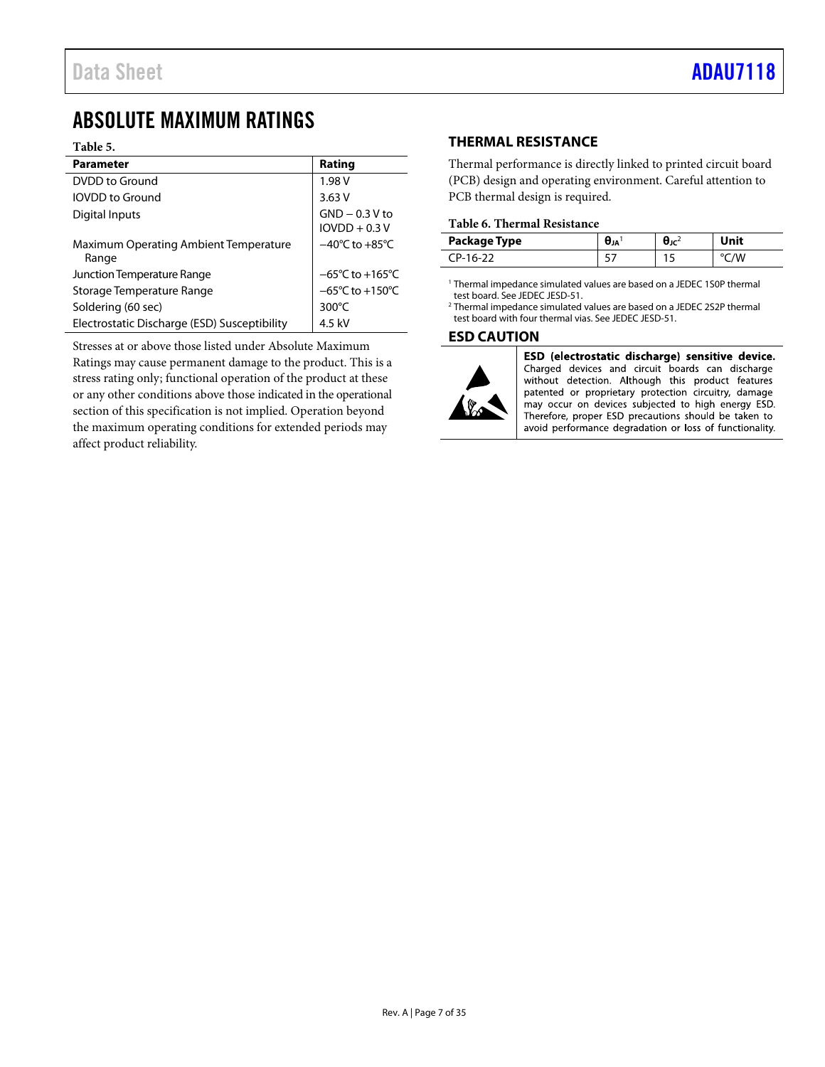### <span id="page-6-0"></span>ABSOLUTE MAXIMUM RATINGS

### **Table 5.**

| <b>Parameter</b>                                      | Rating                               |
|-------------------------------------------------------|--------------------------------------|
| DVDD to Ground                                        | 1.98 V                               |
| <b>IOVDD</b> to Ground                                | 3.63V                                |
| Digital Inputs                                        | $GND - 0.3 V$ to<br>$IOVDD + 0.3 V$  |
| <b>Maximum Operating Ambient Temperature</b><br>Range | $-40^{\circ}$ C to $+85^{\circ}$ C   |
| Junction Temperature Range                            | $-65^{\circ}$ C to +165 $^{\circ}$ C |
| Storage Temperature Range                             | $-65^{\circ}$ C to +150 $^{\circ}$ C |
| Soldering (60 sec)                                    | $300^{\circ}$ C                      |
| Electrostatic Discharge (ESD) Susceptibility          | 4.5 kV                               |

Stresses at or above those listed under Absolute Maximum

Ratings may cause permanent damage to the product. This is a stress rating only; functional operation of the product at these or any other conditions above those indicated in the operational section of this specification is not implied. Operation beyond the maximum operating conditions for extended periods may affect product reliability.

### <span id="page-6-1"></span>**THERMAL RESISTANCE**

Thermal performance is directly linked to printed circuit board (PCB) design and operating environment. Careful attention to PCB thermal design is required.

### **Table 6. Thermal Resistance**

| Package Type          | Λ<br>OJA | است ک<br>טע. | Jnit |
|-----------------------|----------|--------------|------|
| `D <sub>-</sub> 16-77 | ، ب      | . .          |      |

<sup>1</sup> Thermal impedance simulated values are based on a JEDEC 1S0P thermal test board. See JEDEC JESD-51.

2 Thermal impedance simulated values are based on a JEDEC 2S2P thermal test board with four thermal vias. See JEDEC JESD-51.

### <span id="page-6-2"></span>**ESD CAUTION**



ESD (electrostatic discharge) sensitive device. Charged devices and circuit boards can discharge without detection. Although this product features patented or proprietary protection circuitry, damage may occur on devices subjected to high energy ESD. Therefore, proper ESD precautions should be taken to avoid performance degradation or loss of functionality.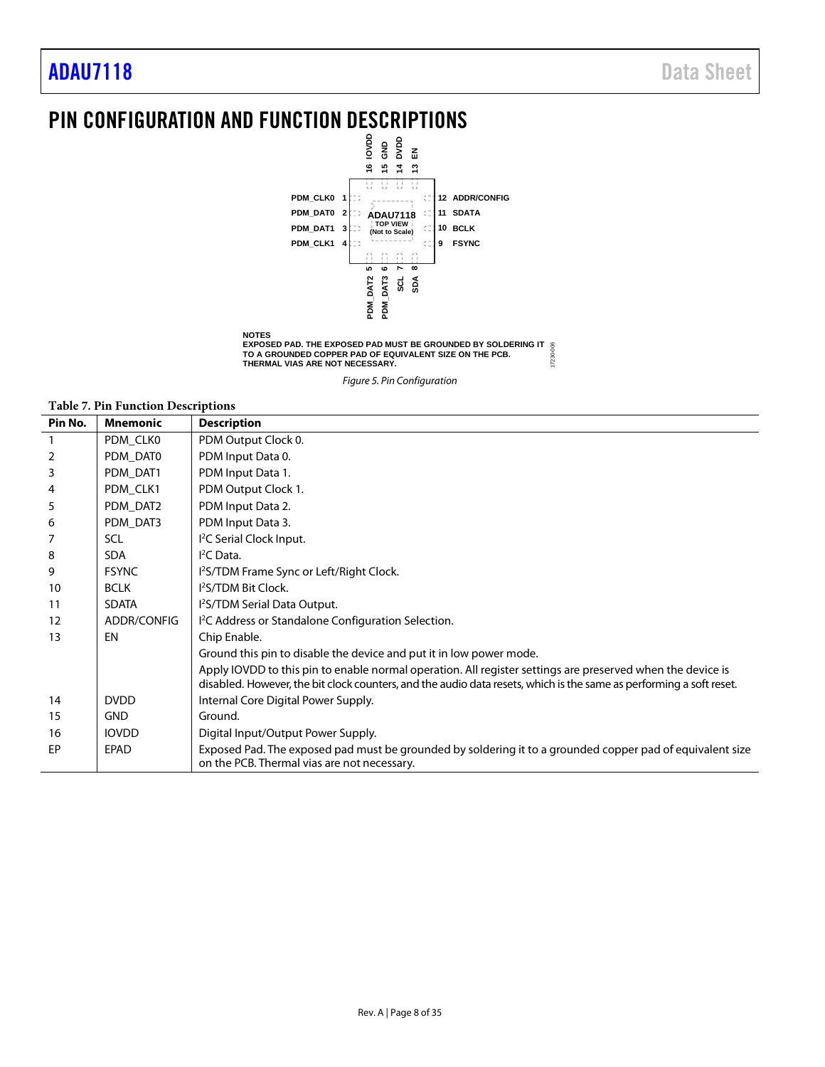### <span id="page-7-0"></span>PIN CONFIGURATION AND FUNCTION DESCRIPTIONS



*Figure 5. Pin Configuration*

#### **Table 7. Pin Function Descriptions**

| Pin No. | <b>Mnemonic</b> | <b>Description</b>                                                                                                                                                                                                                |
|---------|-----------------|-----------------------------------------------------------------------------------------------------------------------------------------------------------------------------------------------------------------------------------|
|         | PDM CLK0        | PDM Output Clock 0.                                                                                                                                                                                                               |
| 2       | PDM DAT0        | PDM Input Data 0.                                                                                                                                                                                                                 |
| 3       | PDM DAT1        | PDM Input Data 1.                                                                                                                                                                                                                 |
| 4       | PDM_CLK1        | PDM Output Clock 1.                                                                                                                                                                                                               |
| 5       | PDM_DAT2        | PDM Input Data 2.                                                                                                                                                                                                                 |
| 6       | PDM DAT3        | PDM Input Data 3.                                                                                                                                                                                                                 |
|         | SCL             | I <sup>2</sup> C Serial Clock Input.                                                                                                                                                                                              |
| 8       | <b>SDA</b>      | I <sup>2</sup> CData.                                                                                                                                                                                                             |
| 9       | <b>FSYNC</b>    | 1 <sup>2</sup> S/TDM Frame Sync or Left/Right Clock.                                                                                                                                                                              |
| 10      | <b>BCLK</b>     | 1 <sup>2</sup> S/TDM Bit Clock.                                                                                                                                                                                                   |
| 11      | <b>SDATA</b>    | I <sup>2</sup> S/TDM Serial Data Output.                                                                                                                                                                                          |
| 12      | ADDR/CONFIG     | I <sup>2</sup> C Address or Standalone Configuration Selection.                                                                                                                                                                   |
| 13      | EN              | Chip Enable.                                                                                                                                                                                                                      |
|         |                 | Ground this pin to disable the device and put it in low power mode.                                                                                                                                                               |
|         |                 | Apply IOVDD to this pin to enable normal operation. All register settings are preserved when the device is<br>disabled. However, the bit clock counters, and the audio data resets, which is the same as performing a soft reset. |
| 14      | <b>DVDD</b>     | Internal Core Digital Power Supply.                                                                                                                                                                                               |
| 15      | <b>GND</b>      | Ground.                                                                                                                                                                                                                           |
| 16      | <b>IOVDD</b>    | Digital Input/Output Power Supply.                                                                                                                                                                                                |
| EP      | <b>EPAD</b>     | Exposed Pad. The exposed pad must be grounded by soldering it to a grounded copper pad of equivalent size<br>on the PCB. Thermal vias are not necessary.                                                                          |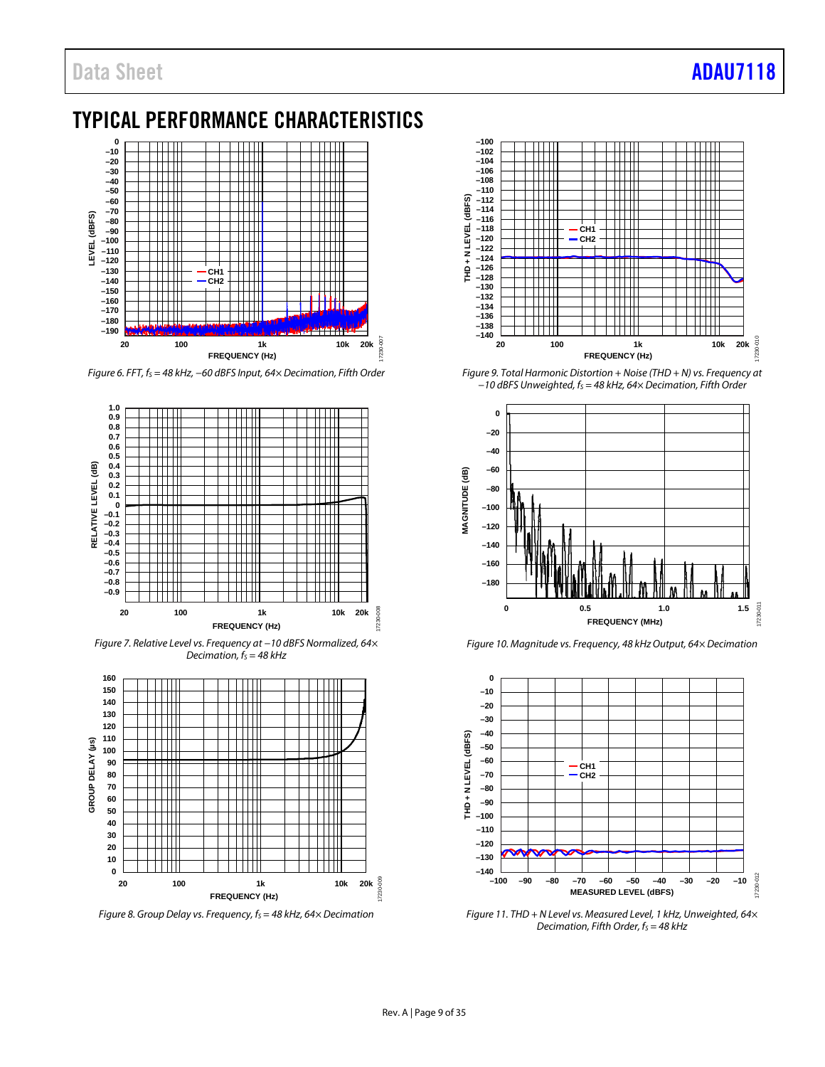### <span id="page-8-0"></span>TYPICAL PERFORMANCE CHARACTERISTICS



*Figure 6. FFT, fS = 48 kHz, −60 dBFS Input, 64× Decimation, Fifth Order*



*Figure 7. Relative Level vs. Frequency at −10 dBFS Normalized, 64× Decimation, f<sub>s</sub>* = 48 kHz



*Figure 8. Group Delay vs. Frequency, f<sub>S</sub> = 48 kHz, 64× Decimation* 



*Figure 9. Total Harmonic Distortion + Noise (THD + N) vs. Frequency at −10 dBFS Unweighted, fS = 48 kHz, 64× Decimation, Fifth Order*



*Figure 10. Magnitude vs. Frequency, 48 kHz Output, 64× Decimation* 



*Figure 11. THD + N Level vs. Measured Level, 1 kHz, Unweighted, 64× Decimation, Fifth Order, f<sub>S</sub>* = 48 kHz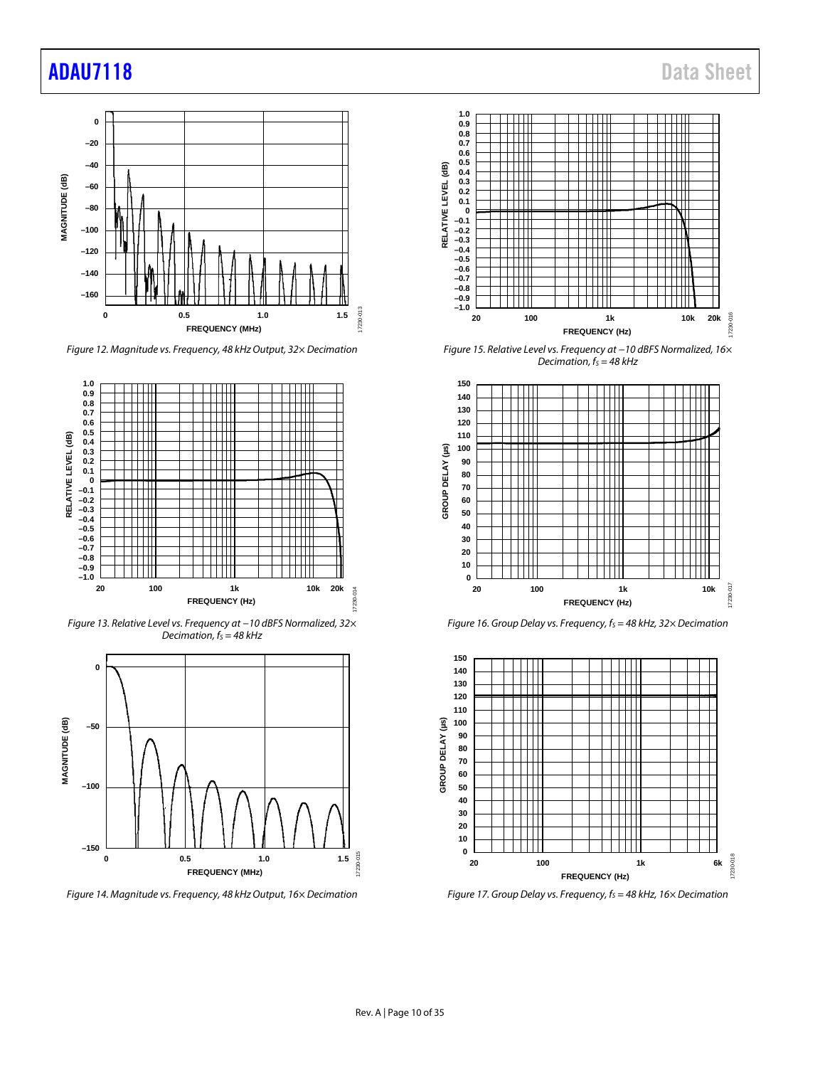### [ADAU7118](https://www.analog.com/ADAU7118?doc=ADAU7118.pdf) Data Sheet



*Figure 12. Magnitude vs. Frequency, 48 kHz Output, 32× Decimation*



*Figure 13. Relative Level vs. Frequency at −10 dBFS Normalized, 32× Decimation,*  $f_s = 48$  kHz



*Figure 14. Magnitude vs. Frequency, 48 kHz Output, 16× Decimation* 



*Figure 15. Relative Level vs. Frequency at −10 dBFS Normalized, 16× Decimation,*  $f_s = 48$  kHz



*Figure 16. Group Delay vs. Frequency, f<sub>S</sub> = 48 kHz, 32× Decimation* 



*Figure 17. Group Delay vs. Frequency, fs = 48 kHz, 16× Decimation*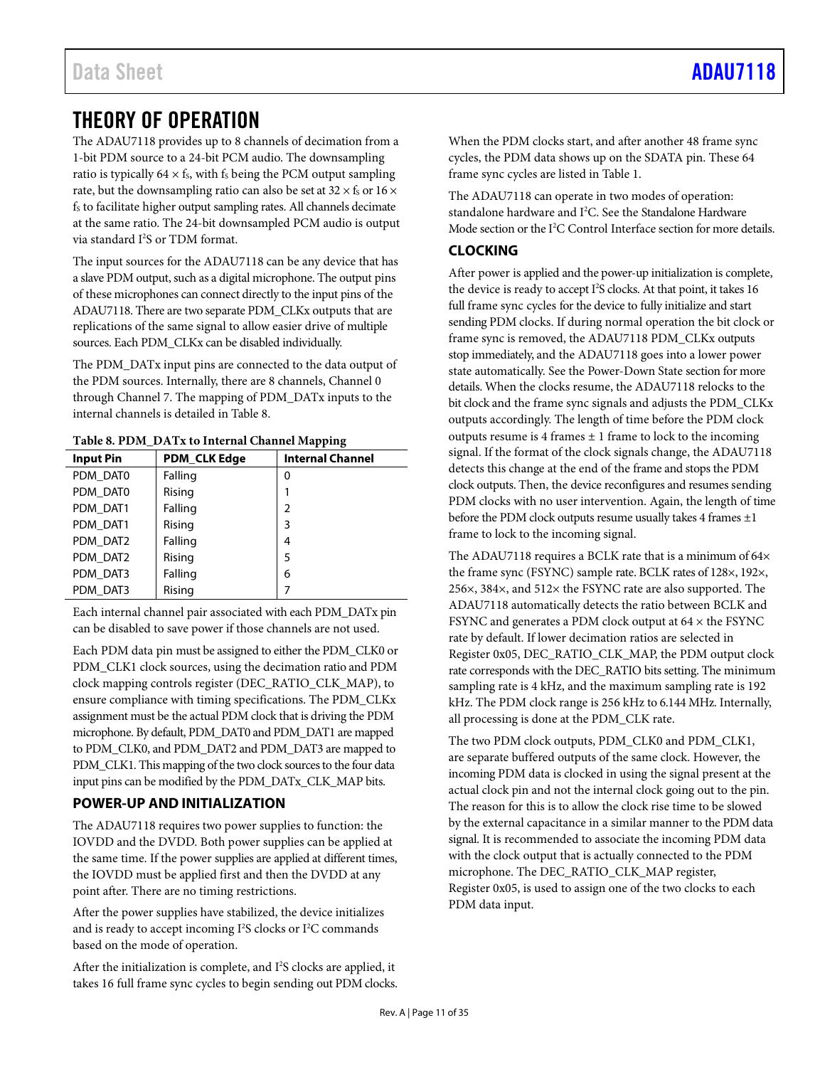### <span id="page-10-0"></span>THEORY OF OPERATION

The ADAU7118 provides up to 8 channels of decimation from a 1-bit PDM source to a 24-bit PCM audio. The downsampling ratio is typically  $64 \times f_s$ , with  $f_s$  being the PCM output sampling rate, but the downsampling ratio can also be set at 32  $\times$  f<sub>s</sub> or 16  $\times$ fs to facilitate higher output sampling rates. All channels decimate at the same ratio. The 24-bit downsampled PCM audio is output via standard I 2 S or TDM format.

The input sources for the ADAU7118 can be any device that has a slave PDM output, such as a digital microphone. The output pins of these microphones can connect directly to the input pins of the ADAU7118. There are two separate PDM\_CLKx outputs that are replications of the same signal to allow easier drive of multiple sources. Each PDM\_CLKx can be disabled individually.

The PDM\_DATx input pins are connected to the data output of the PDM sources. Internally, there are 8 channels, Channel 0 through Channel 7. The mapping of PDM\_DATx inputs to the internal channels is detailed in [Table 8.](#page-10-3)

<span id="page-10-3"></span>

|  |  | Table 8. PDM_DATx to Internal Channel Mapping |
|--|--|-----------------------------------------------|
|--|--|-----------------------------------------------|

|                  |                     | . .<br>ø                |
|------------------|---------------------|-------------------------|
| <b>Input Pin</b> | <b>PDM CLK Edge</b> | <b>Internal Channel</b> |
| PDM DAT0         | Falling             | 0                       |
| PDM DAT0         | Rising              |                         |
| PDM DAT1         | Falling             | $\overline{2}$          |
| PDM DAT1         | Rising              | 3                       |
| PDM DAT2         | Falling             | 4                       |
| PDM DAT2         | Rising              | 5                       |
| PDM DAT3         | Falling             | 6                       |
| PDM DAT3         | Rising              | 7                       |

Each internal channel pair associated with each PDM\_DATx pin can be disabled to save power if those channels are not used.

Each PDM data pin must be assigned to either the PDM\_CLK0 or PDM\_CLK1 clock sources, using the decimation ratio and PDM clock mapping controls register (DEC\_RATIO\_CLK\_MAP), to ensure compliance with timing specifications. The PDM\_CLKx assignment must be the actual PDM clock that is driving the PDM microphone. By default, PDM\_DAT0 and PDM\_DAT1 are mapped to PDM\_CLK0, and PDM\_DAT2 and PDM\_DAT3 are mapped to PDM\_CLK1. This mapping of the two clock sources to the four data input pins can be modified by the PDM\_DATx\_CLK\_MAP bits.

### <span id="page-10-1"></span>**POWER-UP AND INITIALIZATION**

The ADAU7118 requires two power supplies to function: the IOVDD and the DVDD. Both power supplies can be applied at the same time. If the power supplies are applied at different times, the IOVDD must be applied first and then the DVDD at any point after. There are no timing restrictions.

After the power supplies have stabilized, the device initializes and is ready to accept incoming  $I^2S$  clocks or  $I^2C$  commands based on the mode of operation.

After the initialization is complete, and I<sup>2</sup>S clocks are applied, it takes 16 full frame sync cycles to begin sending out PDM clocks. When the PDM clocks start, and after another 48 frame sync cycles, the PDM data shows up on the SDATA pin. These 64 frame sync cycles are listed in [Table 1.](#page-2-1)

The ADAU7118 can operate in two modes of operation: standalone hardware and I<sup>2</sup>C. See the [Standalone Hardware](#page-11-1) [Mode](#page-11-1) section or the I 2 [C Control Interface](#page-16-0) section for more details.

### <span id="page-10-2"></span>**CLOCKING**

After power is applied and the power-up initialization is complete, the device is ready to accept I 2 S clocks. At that point, it takes 16 full frame sync cycles for the device to fully initialize and start sending PDM clocks. If during normal operation the bit clock or frame sync is removed, the ADAU7118 PDM\_CLKx outputs stop immediately, and the ADAU7118 goes into a lower power state automatically. See th[e Power-Down](#page-11-0) State section for more details. When the clocks resume, the ADAU7118 relocks to the bit clock and the frame sync signals and adjusts the PDM\_CLKx outputs accordingly. The length of time before the PDM clock outputs resume is 4 frames  $\pm$  1 frame to lock to the incoming signal. If the format of the clock signals change, the ADAU7118 detects this change at the end of the frame and stops the PDM clock outputs. Then, the device reconfigures and resumes sending PDM clocks with no user intervention. Again, the length of time before the PDM clock outputs resume usually takes 4 frames  $\pm 1$ frame to lock to the incoming signal.

The ADAU7118 requires a BCLK rate that is a minimum of 64 $\times$ the frame sync (FSYNC) sample rate. BCLK rates of 128×, 192×, 256×, 384×, and 512× the FSYNC rate are also supported. The ADAU7118 automatically detects the ratio between BCLK and FSYNC and generates a PDM clock output at 64 × the FSYNC rate by default. If lower decimation ratios are selected in Register 0x05, DEC\_RATIO\_CLK\_MAP, the PDM output clock rate corresponds with the DEC\_RATIO bits setting. The minimum sampling rate is 4 kHz, and the maximum sampling rate is 192 kHz. The PDM clock range is 256 kHz to 6.144 MHz. Internally, all processing is done at the PDM\_CLK rate.

The two PDM clock outputs, PDM\_CLK0 and PDM\_CLK1, are separate buffered outputs of the same clock. However, the incoming PDM data is clocked in using the signal present at the actual clock pin and not the internal clock going out to the pin. The reason for this is to allow the clock rise time to be slowed by the external capacitance in a similar manner to the PDM data signal. It is recommended to associate the incoming PDM data with the clock output that is actually connected to the PDM microphone. The DEC\_RATIO\_CLK\_MAP register, Register 0x05, is used to assign one of the two clocks to each PDM data input.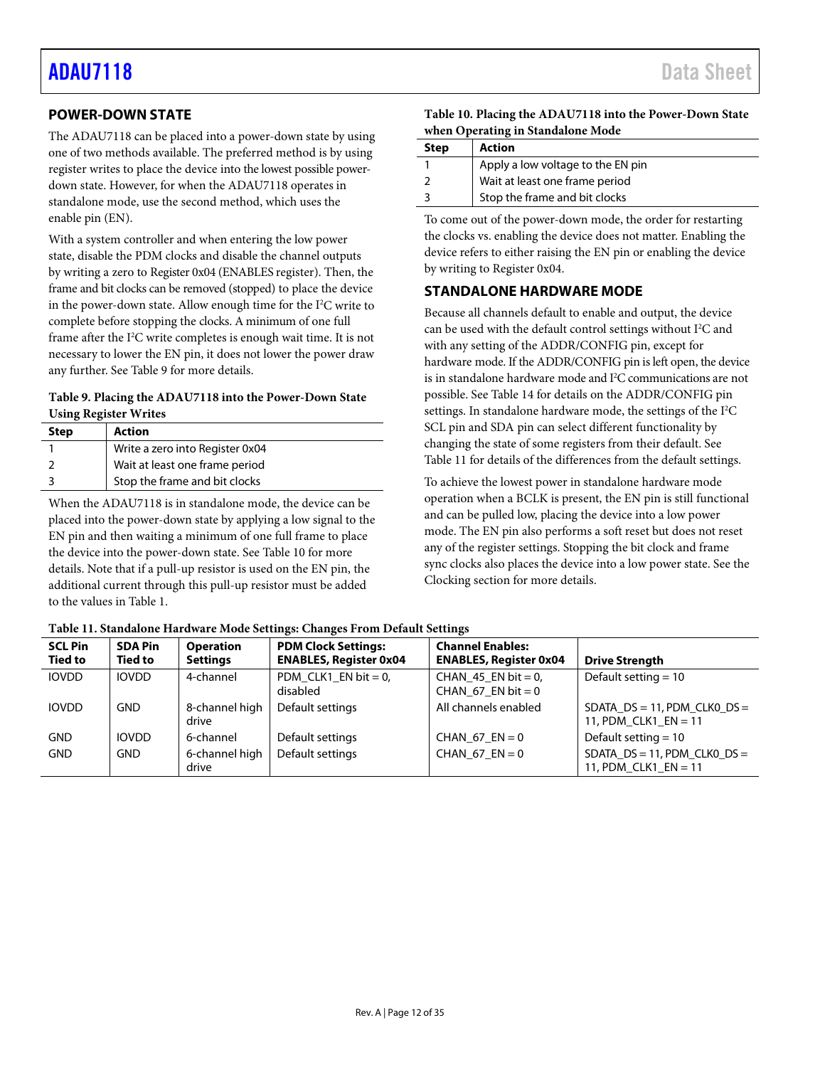### <span id="page-11-0"></span>**POWER-DOWN STATE**

The ADAU7118 can be placed into a power-down state by using one of two methods available. The preferred method is by using register writes to place the device into the lowest possible powerdown state. However, for when the ADAU7118 operates in standalone mode, use the second method, which uses the enable pin (EN).

With a system controller and when entering the low power state, disable the PDM clocks and disable the channel outputs by writing a zero to Register 0x04 (ENABLES register). Then, the frame and bit clocks can be removed (stopped) to place the device in the power-down state. Allow enough time for the I<sup>2</sup>C write to complete before stopping the clocks. A minimum of one full frame after the I<sup>2</sup>C write completes is enough wait time. It is not necessary to lower the EN pin, it does not lower the power draw any further. Se[e Table 9](#page-11-3) for more details.

### <span id="page-11-3"></span>**Table 9. Placing the ADAU7118 into the Power-Down State Using Register Writes**

| <b>Step</b> | <b>Action</b>                   |
|-------------|---------------------------------|
|             | Write a zero into Register 0x04 |
|             | Wait at least one frame period  |
|             | Stop the frame and bit clocks   |

When the ADAU7118 is in standalone mode, the device can be placed into the power-down state by applying a low signal to the EN pin and then waiting a minimum of one full frame to place the device into the power-down state. See [Table 10](#page-11-2) for more details. Note that if a pull-up resistor is used on the EN pin, the additional current through this pull-up resistor must be added to the values i[n Table 1.](#page-2-1) 

<span id="page-11-2"></span>

| Table 10. Placing the ADAU7118 into the Power-Down State |
|----------------------------------------------------------|
| when Operating in Standalone Mode                        |

| <b>Step</b> | Action                            |
|-------------|-----------------------------------|
|             | Apply a low voltage to the EN pin |
|             | Wait at least one frame period    |
|             | Stop the frame and bit clocks     |

To come out of the power-down mode, the order for restarting the clocks vs. enabling the device does not matter. Enabling the device refers to either raising the EN pin or enabling the device by writing to Register 0x04.

### <span id="page-11-1"></span>**STANDALONE HARDWARE MODE**

Because all channels default to enable and output, the device can be used with the default control settings without  $I^2C$  and with any setting of the ADDR/CONFIG pin, except for hardware mode. If the ADDR/CONFIG pin is left open, the device is in standalone hardware mode and I2 C communications are not possible. Se[e Table 14](#page-16-1) for details on the ADDR/CONFIG pin settings. In standalone hardware mode, the settings of the I<sup>2</sup>C SCL pin and SDA pin can select different functionality by changing the state of some registers from their default. See [Table 11](#page-11-4) for details of the differences from the default settings.

To achieve the lowest power in standalone hardware mode operation when a BCLK is present, the EN pin is still functional and can be pulled low, placing the device into a low power mode. The EN pin also performs a soft reset but does not reset any of the register settings. Stopping the bit clock and frame sync clocks also places the device into a low power state. See the [Clocking](#page-10-2) section for more details.

<span id="page-11-4"></span>

| Table 11. Standalone Hardware Mode Settings: Changes From Default Settings |  |  |
|----------------------------------------------------------------------------|--|--|
|                                                                            |  |  |

| <b>SCL Pin</b><br><b>Tied to</b> | <b>SDA Pin</b><br><b>Tied to</b> | <b>Operation</b><br><b>Settings</b> | <b>PDM Clock Settings:</b><br><b>ENABLES, Register 0x04</b> | <b>Channel Enables:</b><br><b>ENABLES, Register 0x04</b> | <b>Drive Strength</b>                                                                                              |
|----------------------------------|----------------------------------|-------------------------------------|-------------------------------------------------------------|----------------------------------------------------------|--------------------------------------------------------------------------------------------------------------------|
| <b>IOVDD</b>                     | <b>IOVDD</b>                     | 4-channel                           | PDM_CLK1_EN bit = $0$ ,<br>disabled                         | CHAN 45 EN bit = 0,<br>CHAN 67 EN bit = 0                | Default setting $= 10$                                                                                             |
| <b>IOVDD</b>                     | <b>GND</b>                       | 8-channel high<br>drive             | Default settings                                            | All channels enabled                                     | SDATA $DS = 11$ , PDM CLK0 $DS =$<br>11, PDM_CLK1_EN = 11                                                          |
| <b>GND</b>                       | <b>IOVDD</b>                     | 6-channel                           | Default settings                                            | CHAN 67 $EN = 0$                                         | Default setting $= 10$                                                                                             |
| <b>GND</b>                       | <b>GND</b>                       | 6-channel high<br>drive             | Default settings                                            | CHAN 67 $EN = 0$                                         | $SDATA$ <sub>_</sub> $DS = 11$ , $PDM$ <sub>_</sub> $CLKO$ <sub>_<math>DS =</math></sub><br>11, PDM CLK1 $EN = 11$ |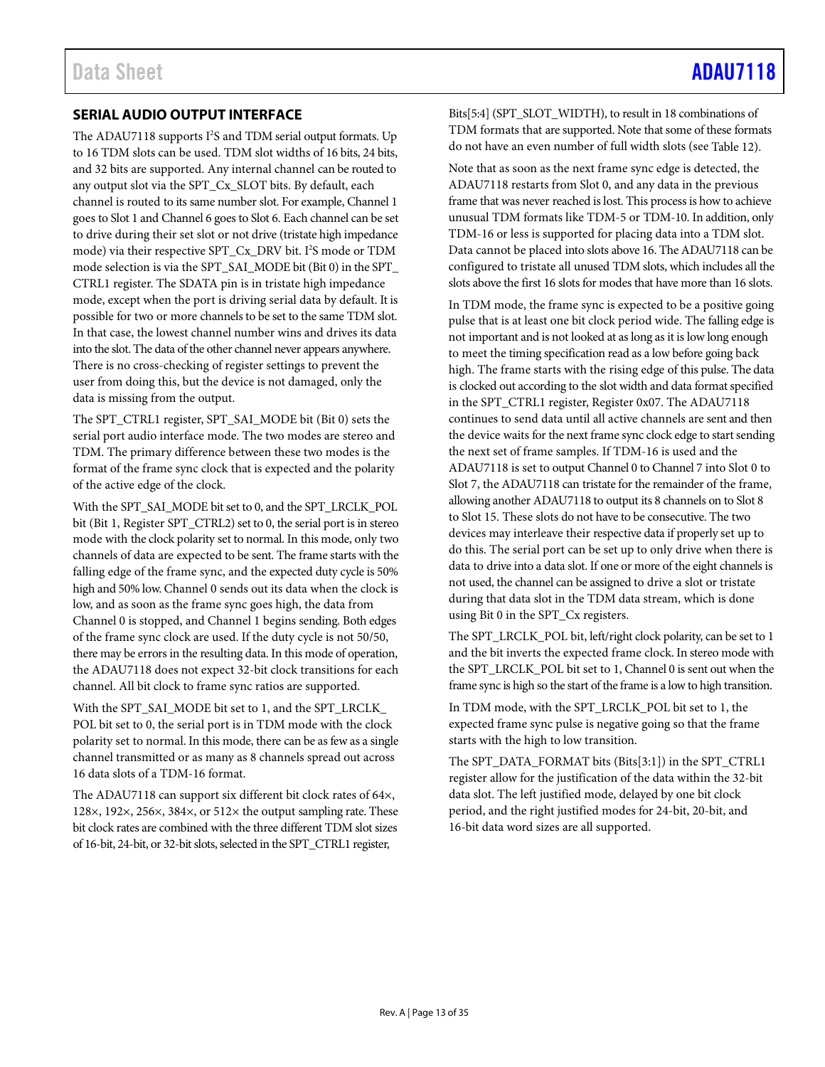### <span id="page-12-0"></span>**SERIAL AUDIO OUTPUT INTERFACE**

The ADAU7118 supports I 2 S and TDM serial output formats. Up to 16 TDM slots can be used. TDM slot widths of 16 bits, 24 bits, and 32 bits are supported. Any internal channel can be routed to any output slot via the SPT\_Cx\_SLOT bits. By default, each channel is routed to its same number slot. For example, Channel 1 goes to Slot 1 and Channel 6 goes to Slot 6. Each channel can be set to drive during their set slot or not drive (tristate high impedance mode) via their respective SPT\_Cx\_DRV bit. I<sup>2</sup>S mode or TDM mode selection is via the SPT\_SAI\_MODE bit (Bit 0) in the SPT\_ CTRL1 register. The SDATA pin is in tristate high impedance mode, except when the port is driving serial data by default. It is possible for two or more channels to be set to the same TDM slot. In that case, the lowest channel number wins and drives its data into the slot. The data of the other channel never appears anywhere. There is no cross-checking of register settings to prevent the user from doing this, but the device is not damaged, only the data is missing from the output.

The SPT\_CTRL1 register, SPT\_SAI\_MODE bit (Bit 0) sets the serial port audio interface mode. The two modes are stereo and TDM. The primary difference between these two modes is the format of the frame sync clock that is expected and the polarity of the active edge of the clock.

With the SPT\_SAI\_MODE bit set to 0, and the SPT\_LRCLK\_POL bit (Bit 1, Register SPT\_CTRL2) set to 0, the serial port is in stereo mode with the clock polarity set to normal. In this mode, only two channels of data are expected to be sent. The frame starts with the falling edge of the frame sync, and the expected duty cycle is 50% high and 50% low. Channel 0 sends out its data when the clock is low, and as soon as the frame sync goes high, the data from Channel 0 is stopped, and Channel 1 begins sending. Both edges of the frame sync clock are used. If the duty cycle is not 50/50, there may be errors in the resulting data. In this mode of operation, the ADAU7118 does not expect 32-bit clock transitions for each channel. All bit clock to frame sync ratios are supported.

With the SPT\_SAI\_MODE bit set to 1, and the SPT\_LRCLK\_ POL bit set to 0, the serial port is in TDM mode with the clock polarity set to normal. In this mode, there can be as few as a single channel transmitted or as many as 8 channels spread out across 16 data slots of a TDM-16 format.

The ADAU7118 can support six different bit clock rates of 64×, 128×, 192×, 256×, 384×, or 512× the output sampling rate. These bit clock rates are combined with the three different TDM slot sizes of 16-bit, 24-bit, or 32-bit slots, selected in the SPT\_CTRL1 register,

Bits[5:4] (SPT\_SLOT\_WIDTH), to result in 18 combinations of TDM formats that are supported. Note that some of these formats do not have an even number of full width slots (se[e Table 12\)](#page-13-0).

Note that as soon as the next frame sync edge is detected, the ADAU7118 restarts from Slot 0, and any data in the previous frame that was never reached is lost. This process is how to achieve unusual TDM formats like TDM-5 or TDM-10. In addition, only TDM-16 or less is supported for placing data into a TDM slot. Data cannot be placed into slots above 16. The ADAU7118 can be configured to tristate all unused TDM slots, which includes all the slots above the first 16 slots for modes that have more than 16 slots.

In TDM mode, the frame sync is expected to be a positive going pulse that is at least one bit clock period wide. The falling edge is not important and is not looked at as long as it is low long enough to meet the timing specification read as a low before going back high. The frame starts with the rising edge of this pulse. The data is clocked out according to the slot width and data format specified in the SPT\_CTRL1 register, Register 0x07. The ADAU7118 continues to send data until all active channels are sent and then the device waits for the next frame sync clock edge to start sending the next set of frame samples. If TDM-16 is used and the ADAU7118 is set to output Channel 0 to Channel 7 into Slot 0 to Slot 7, the ADAU7118 can tristate for the remainder of the frame, allowing another ADAU7118 to output its 8 channels on to Slot 8 to Slot 15. These slots do not have to be consecutive. The two devices may interleave their respective data if properly set up to do this. The serial port can be set up to only drive when there is data to drive into a data slot. If one or more of the eight channels is not used, the channel can be assigned to drive a slot or tristate during that data slot in the TDM data stream, which is done using Bit 0 in the SPT\_Cx registers.

The SPT\_LRCLK\_POL bit, left/right clock polarity, can be set to 1 and the bit inverts the expected frame clock. In stereo mode with the SPT\_LRCLK\_POL bit set to 1, Channel 0 is sent out when the frame sync is high so the start of the frame is a low to high transition.

In TDM mode, with the SPT\_LRCLK\_POL bit set to 1, the expected frame sync pulse is negative going so that the frame starts with the high to low transition.

The SPT\_DATA\_FORMAT bits (Bits[3:1]) in the SPT\_CTRL1 register allow for the justification of the data within the 32-bit data slot. The left justified mode, delayed by one bit clock period, and the right justified modes for 24-bit, 20-bit, and 16-bit data word sizes are all supported.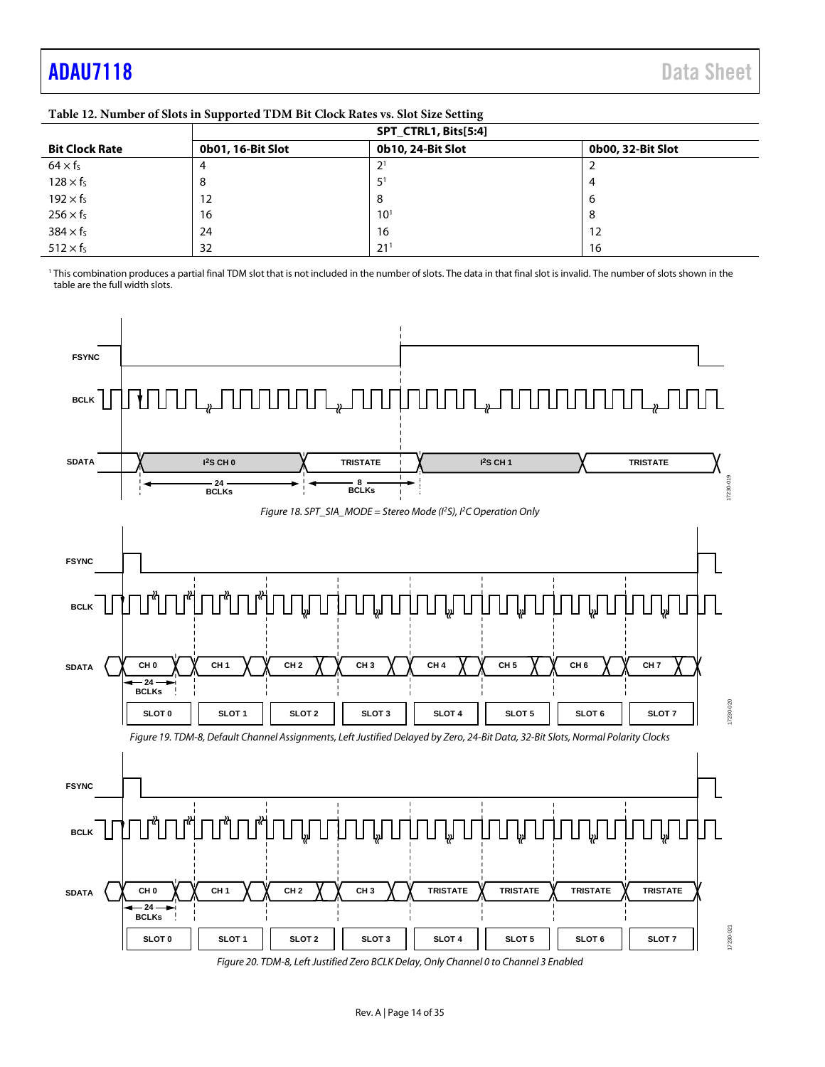## <span id="page-13-0"></span>[ADAU7118](https://www.analog.com/ADAU7118?doc=ADAU7118.pdf) Data Sheet

|                       | . .               | $\cdot$              |                   |  |
|-----------------------|-------------------|----------------------|-------------------|--|
|                       |                   | SPT_CTRL1, Bits[5:4] |                   |  |
| <b>Bit Clock Rate</b> | 0b01, 16-Bit Slot | 0b10, 24-Bit Slot    | 0b00, 32-Bit Slot |  |
| $64 \times f_s$       | 4                 | ◠                    |                   |  |
| $128 \times f_s$      | 8                 |                      | 4                 |  |
| $192 \times f_s$      | 12                | 8                    | ь                 |  |
| $256 \times f_s$      | 16                | $10^{1}$             | 8                 |  |
| $384 \times f_s$      | 24                | 16                   | 12                |  |
| $512 \times f_5$      | 32                | $21^{1}$             | 16                |  |

**Table 12. Number of Slots in Supported TDM Bit Clock Rates vs. Slot Size Setting**

<sup>1</sup> This combination produces a partial final TDM slot that is not included in the number of slots. The data in that final slot is invalid. The number of slots shown in the table are the full width slots.



*Figure 20. TDM-8, Left Justified Zero BCLK Delay, Only Channel 0 to Channel 3 Enabled*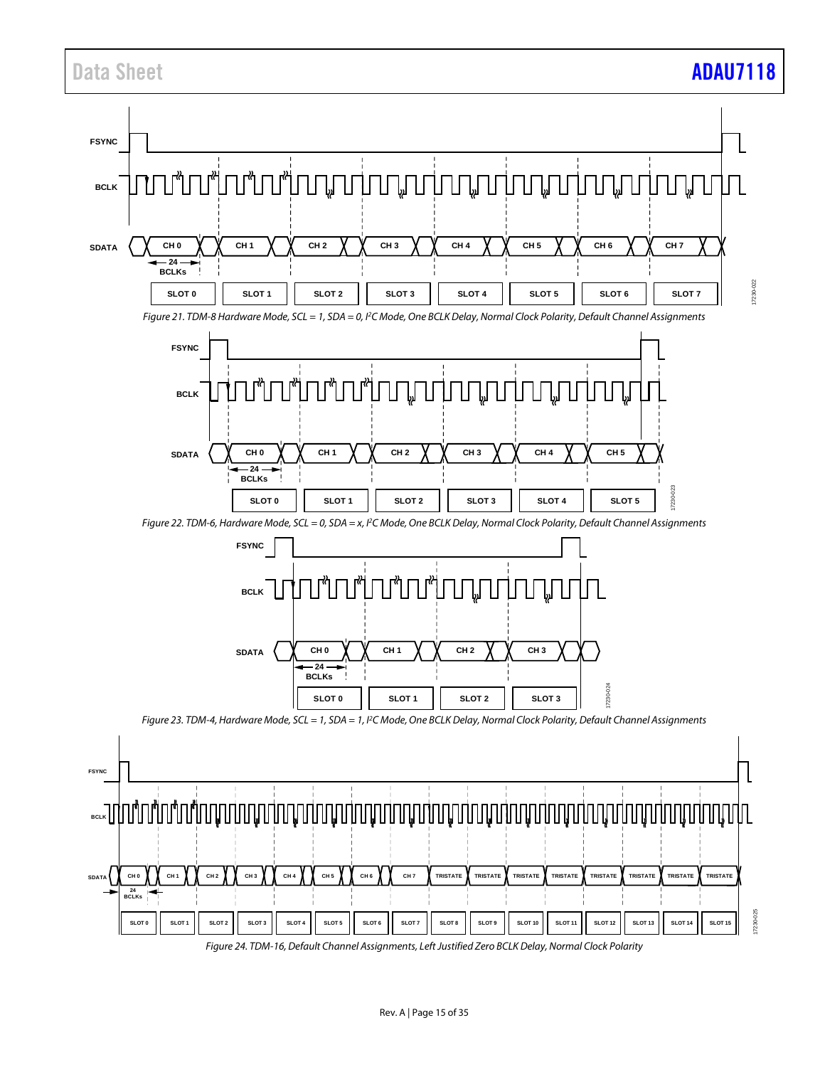### Data Sheet **[ADAU7118](https://www.analog.com/ADAU7118?doc=ADAU7118.pdf)**

![](_page_14_Figure_2.jpeg)

*Figure 24. TDM-16, Default Channel Assignments, Left Justified Zero BCLK Delay, Normal Clock Polarity*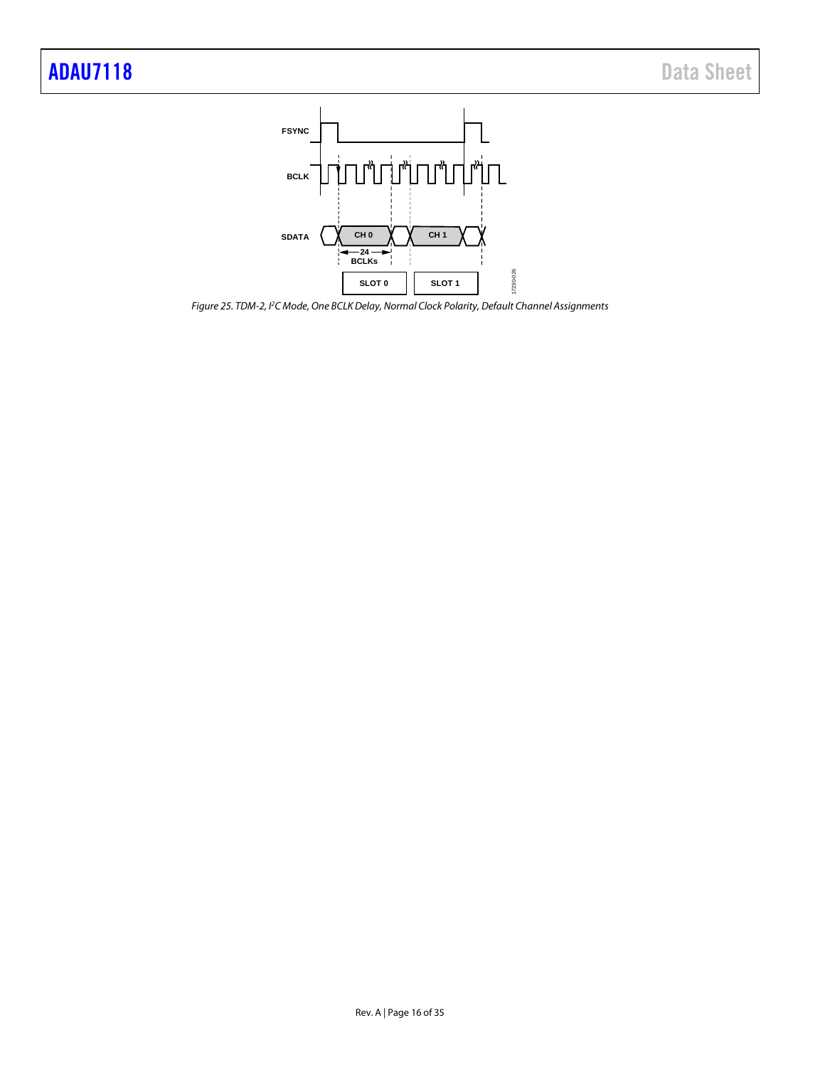![](_page_15_Figure_2.jpeg)

*Figure 25. TDM-2, I2C Mode, One BCLK Delay, Normal Clock Polarity, Default Channel Assignments*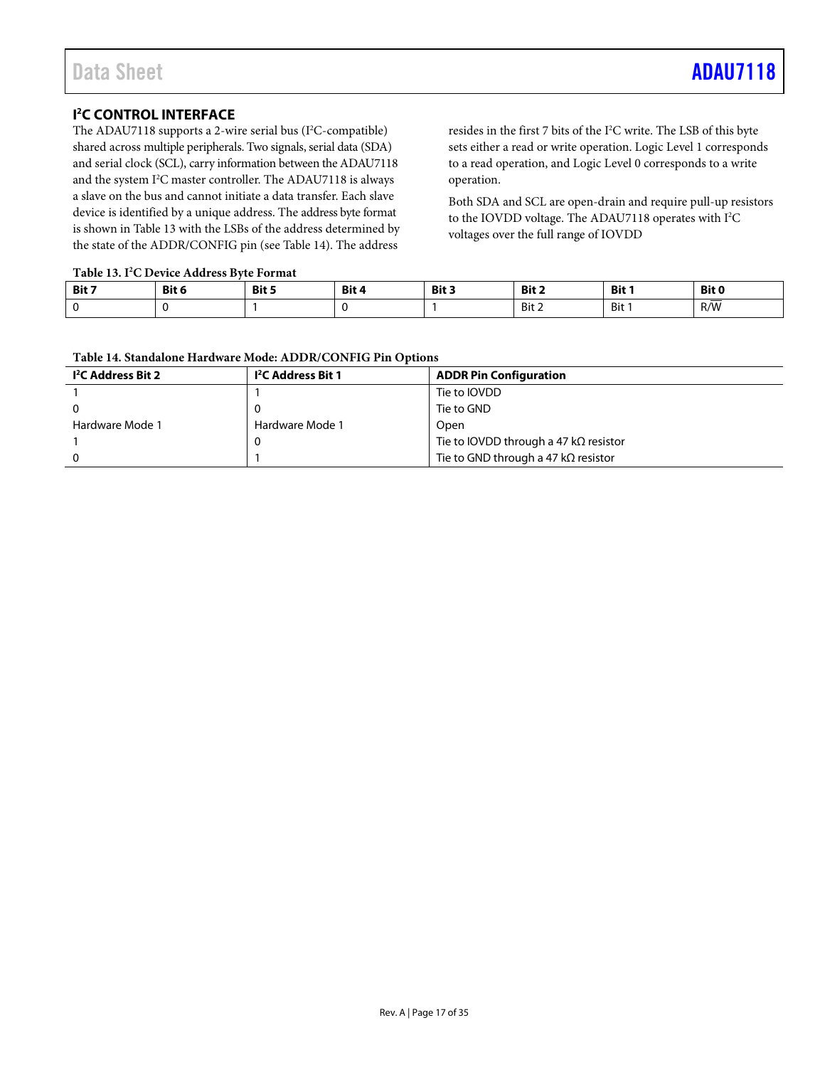### <span id="page-16-0"></span>**I 2 C CONTROL INTERFACE**

The ADAU7118 supports a 2-wire serial bus (I<sup>2</sup>C-compatible) shared across multiple peripherals. Two signals, serial data (SDA) and serial clock (SCL), carry information between the ADAU7118 and the system I<sup>2</sup>C master controller. The ADAU7118 is always a slave on the bus and cannot initiate a data transfer. Each slave device is identified by a unique address. The address byte format is shown in Table 13 with the LSBs of the address determined by the state of the ADDR/CONFIG pin (se[e Table 14\)](#page-16-1). The address

resides in the first 7 bits of the  $I^2C$  write. The LSB of this byte sets either a read or write operation. Logic Level 1 corresponds to a read operation, and Logic Level 0 corresponds to a write operation.

Both SDA and SCL are open-drain and require pull-up resistors to the IOVDD voltage. The ADAU7118 operates with I<sup>2</sup>C voltages over the full range of IOVDD

### **Table 13. I2 C Device Address Byte Format**

| Tuble 19. I C Device August Dice I Stand |              |              |              |              |               |       |              |  |
|------------------------------------------|--------------|--------------|--------------|--------------|---------------|-------|--------------|--|
| Bit 7                                    | <b>Bit 6</b> | <b>Bit 5</b> | <b>Bit 4</b> | <b>Bit 3</b> | Bit 2         | Bit 1 | Bit 0        |  |
|                                          |              |              |              |              | Bit 2<br>____ | Bit . | _____<br>R/W |  |

### <span id="page-16-1"></span>**Table 14. Standalone Hardware Mode: ADDR/CONFIG Pin Options**

| I <sup>2</sup> C Address Bit 2 | <b>1<sup>2</sup>C</b> Address Bit 1 | <b>ADDR Pin Configuration</b>                |
|--------------------------------|-------------------------------------|----------------------------------------------|
|                                |                                     | Tie to IOVDD                                 |
|                                |                                     | Tie to GND                                   |
| Hardware Mode 1                | Hardware Mode 1                     | Open                                         |
|                                | 0                                   | Tie to IOVDD through a 47 $k\Omega$ resistor |
|                                |                                     | Tie to GND through a 47 k $\Omega$ resistor  |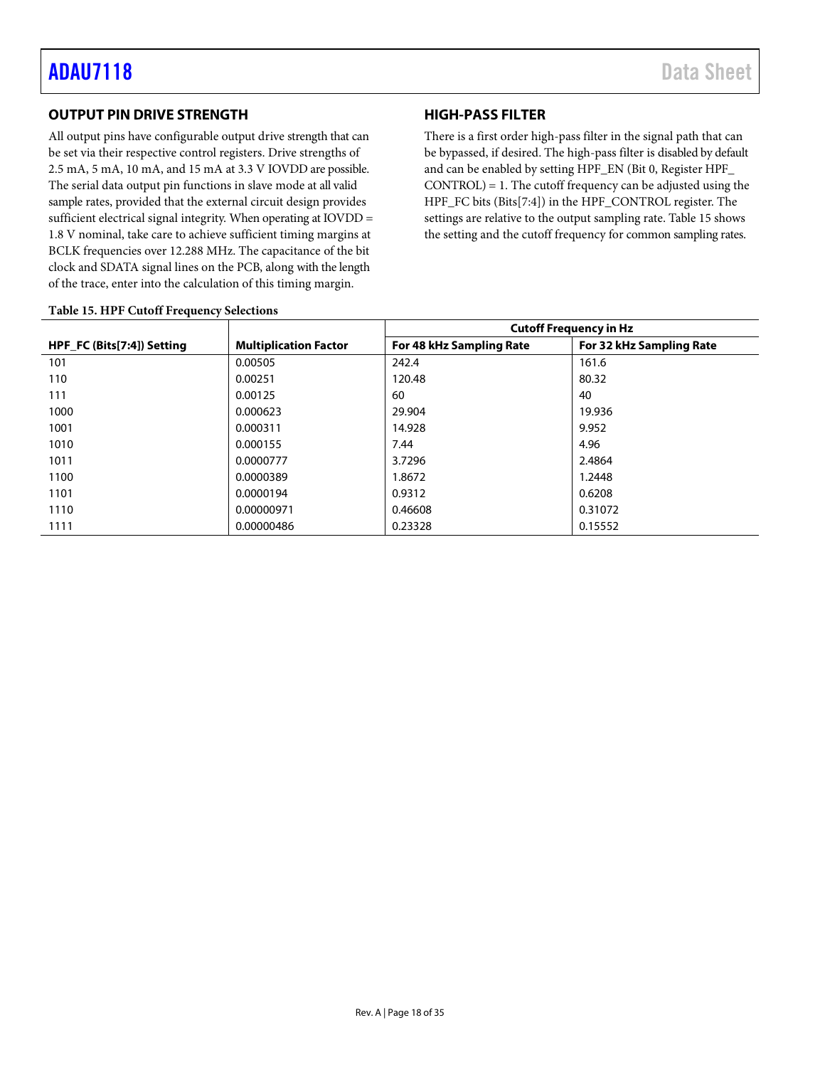### <span id="page-17-0"></span>**OUTPUT PIN DRIVE STRENGTH**

All output pins have configurable output drive strength that can be set via their respective control registers. Drive strengths of 2.5 mA, 5 mA, 10 mA, and 15 mA at 3.3 V IOVDD are possible. The serial data output pin functions in slave mode at all valid sample rates, provided that the external circuit design provides sufficient electrical signal integrity. When operating at IOVDD = 1.8 V nominal, take care to achieve sufficient timing margins at BCLK frequencies over 12.288 MHz. The capacitance of the bit clock and SDATA signal lines on the PCB, along with the length of the trace, enter into the calculation of this timing margin.

### **HIGH-PASS FILTER**

There is a first order high-pass filter in the signal path that can be bypassed, if desired. The high-pass filter is disabled by default and can be enabled by setting HPF\_EN (Bit 0, Register HPF\_ CONTROL) = 1. The cutoff frequency can be adjusted using the HPF\_FC bits (Bits[7:4]) in the HPF\_CONTROL register. The settings are relative to the output sampling rate[. Table 15](#page-17-1) shows the setting and the cutoff frequency for common sampling rates.

|                            |                              | <b>Cutoff Frequency in Hz</b> |                          |  |  |  |  |
|----------------------------|------------------------------|-------------------------------|--------------------------|--|--|--|--|
| HPF FC (Bits[7:4]) Setting | <b>Multiplication Factor</b> | For 48 kHz Sampling Rate      | For 32 kHz Sampling Rate |  |  |  |  |
| 101                        | 0.00505                      | 242.4                         | 161.6                    |  |  |  |  |
| 110                        | 0.00251                      | 120.48                        | 80.32                    |  |  |  |  |
| 111                        | 0.00125                      | 60                            | 40                       |  |  |  |  |
| 1000                       | 0.000623                     | 29.904                        | 19.936                   |  |  |  |  |
| 1001                       | 0.000311                     | 14.928                        | 9.952                    |  |  |  |  |
| 1010                       | 0.000155                     | 7.44                          | 4.96                     |  |  |  |  |
| 1011                       | 0.0000777                    | 3.7296                        | 2.4864                   |  |  |  |  |
| 1100                       | 0.0000389                    | 1.8672                        | 1.2448                   |  |  |  |  |
| 1101                       | 0.0000194                    | 0.9312                        | 0.6208                   |  |  |  |  |
| 1110                       | 0.00000971                   | 0.46608                       | 0.31072                  |  |  |  |  |
| 1111                       | 0.00000486                   | 0.23328                       | 0.15552                  |  |  |  |  |

### <span id="page-17-1"></span>**Table 15. HPF Cutoff Frequency Selections**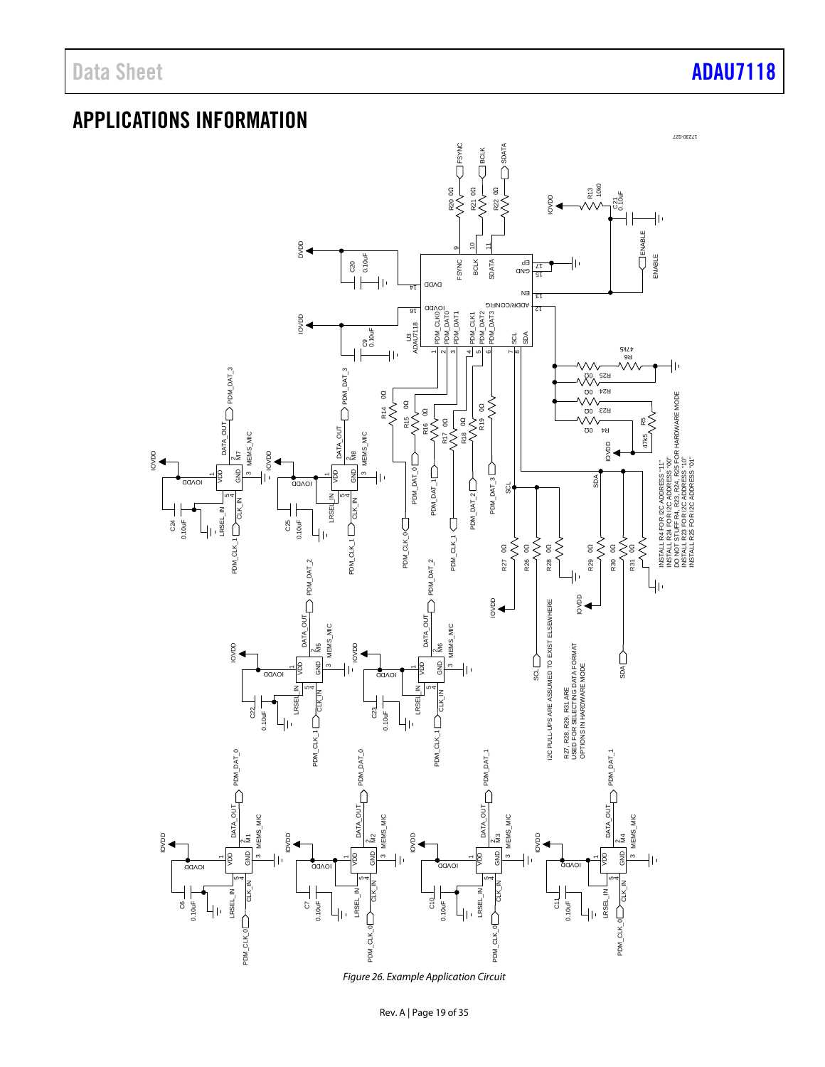Data Sheet **[ADAU7118](https://www.analog.com/ADAU7118?doc=ADAU7118.pdf)** 

### <span id="page-18-0"></span>APPLICATIONS INFORMATION

![](_page_18_Figure_3.jpeg)

*Figure 26. Example Application Circuit*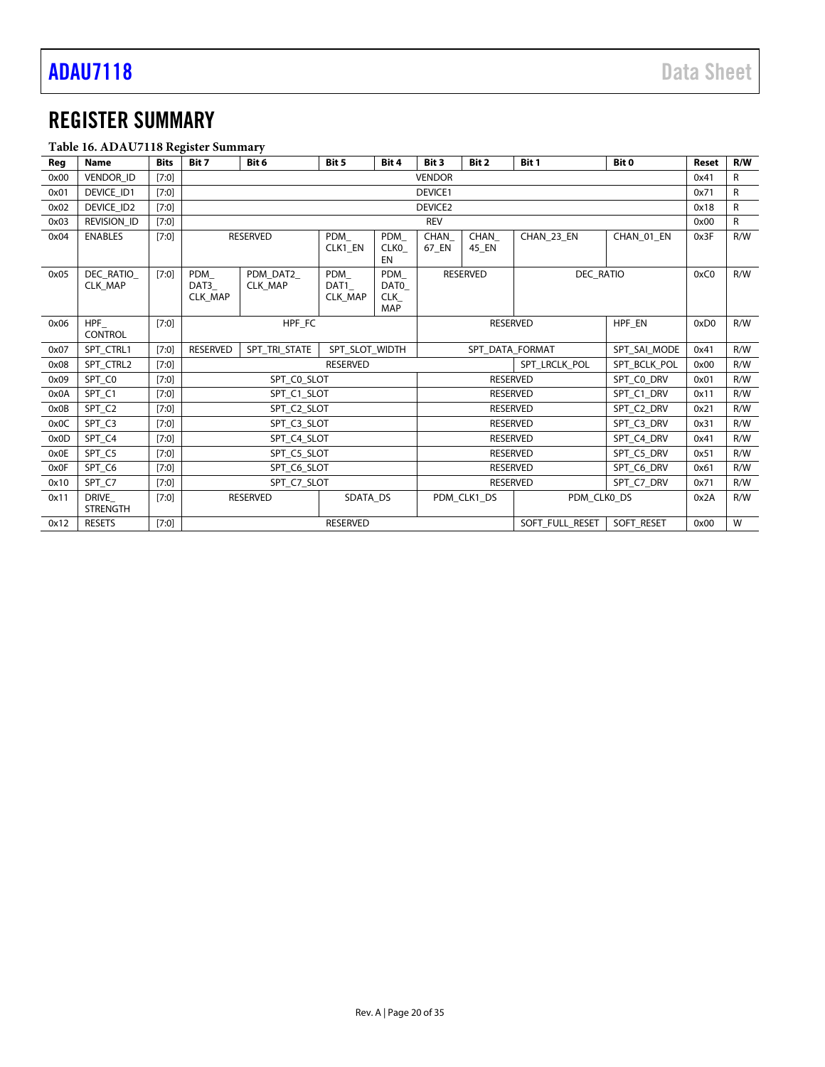### <span id="page-19-0"></span>REGISTER SUMMARY

### **Table 16. ADAU7118 Register Summary**

| Reg  | raoic roi monte , rio regioter oummur,<br><b>Name</b> | <b>Bits</b> | Bit 7                            | Bit 6                      | Bit 5                  | Bit 4                            | Bit 3           | Bit 2                               | Bit 1            | Bit 0      | Reset | R/W |
|------|-------------------------------------------------------|-------------|----------------------------------|----------------------------|------------------------|----------------------------------|-----------------|-------------------------------------|------------------|------------|-------|-----|
| 0x00 | <b>VENDOR ID</b>                                      | $[7:0]$     |                                  |                            |                        |                                  | <b>VENDOR</b>   |                                     |                  |            | 0x41  | R   |
| 0x01 | DEVICE_ID1                                            |             |                                  | DEVICE1                    |                        |                                  |                 |                                     |                  | 0x71       | R     |     |
|      |                                                       | $[7:0]$     |                                  |                            |                        |                                  |                 |                                     |                  |            |       |     |
| 0x02 | DEVICE_ID2                                            | $[7:0]$     |                                  |                            |                        |                                  | DEVICE2         |                                     |                  |            | 0x18  | R   |
| 0x03 | <b>REVISION ID</b>                                    | [7:0]       |                                  |                            |                        |                                  | <b>REV</b>      |                                     |                  |            | 0x00  | R   |
| 0x04 | <b>ENABLES</b>                                        | $[7:0]$     |                                  | <b>RESERVED</b>            | PDM<br>CLK1 EN         | PDM<br><b>CLKO</b><br><b>EN</b>  | 67 EN           | CHAN<br>CHAN<br>CHAN 23 EN<br>45 EN |                  | CHAN 01 EN | 0x3F  | R/W |
| 0x05 | DEC RATIO<br><b>CLK MAP</b>                           | [7:0]       | PDM<br>DAT3<br><b>CLK MAP</b>    | PDM DAT2<br><b>CLK MAP</b> | PDM<br>DAT1<br>CLK_MAP | PDM<br>DAT0<br><b>CLK</b><br>MAP |                 | <b>RESERVED</b>                     | <b>DEC RATIO</b> |            | 0xC0  | R/W |
| 0x06 | HPF<br><b>CONTROL</b>                                 | [7:0]       |                                  | HPF_FC                     |                        |                                  | <b>RESERVED</b> |                                     |                  | HPF_EN     | 0xD0  | R/W |
| 0x07 | SPT CTRL1                                             | $[7:0]$     | <b>RESERVED</b>                  | SPT TRI STATE              | SPT SLOT WIDTH         |                                  | SPT DATA FORMAT |                                     | SPT_SAI_MODE     | 0x41       | R/W   |     |
| 0x08 | SPT CTRL2                                             | [7:0]       | SPT_LRCLK_POL<br><b>RESERVED</b> |                            | SPT BCLK POL           | 0x00                             | R/W             |                                     |                  |            |       |     |
| 0x09 | SPT_C0                                                | [7:0]       |                                  | SPT CO SLOT                |                        |                                  |                 | <b>RESERVED</b>                     |                  | SPT CO DRV | 0x01  | R/W |
| 0x0A | SPT_C1                                                | $[7:0]$     |                                  | SPT_C1_SLOT                |                        |                                  |                 | <b>RESERVED</b>                     |                  | SPT C1 DRV | 0x11  | R/W |
| 0x0B | SPT_C2                                                | $[7:0]$     |                                  | SPT C2 SLOT                |                        |                                  |                 | <b>RESERVED</b>                     |                  | SPT C2 DRV | 0x21  | R/W |
| 0x0C | SPT_C3                                                | [7:0]       |                                  | SPT C3 SLOT                |                        |                                  |                 | <b>RESERVED</b>                     |                  | SPT_C3_DRV | 0x31  | R/W |
| 0x0D | SPT_C4                                                | $[7:0]$     |                                  | SPT C4 SLOT                |                        |                                  | <b>RESERVED</b> |                                     | SPT C4 DRV       | 0x41       | R/W   |     |
| 0x0E | SPT_C5                                                | $[7:0]$     |                                  | SPT C5 SLOT                |                        |                                  | <b>RESERVED</b> |                                     | SPT C5 DRV       | 0x51       | R/W   |     |
| 0x0F | SPT C6                                                | [7:0]       |                                  | SPT_C6_SLOT                |                        |                                  |                 | <b>RESERVED</b>                     |                  | SPT_C6_DRV | 0x61  | R/W |
| 0x10 | SPT C7                                                | [7:0]       |                                  | SPT C7 SLOT                |                        |                                  |                 | <b>RESERVED</b>                     |                  | SPT C7 DRV | 0x71  | R/W |
| 0x11 | <b>DRIVE</b><br><b>STRENGTH</b>                       | [7:0]       |                                  | <b>RESERVED</b>            | SDATA_DS               |                                  |                 | PDM CLK1 DS                         | PDM_CLK0_DS      |            | 0x2A  | R/W |
| 0x12 | <b>RESETS</b>                                         | [7:0]       |                                  |                            | <b>RESERVED</b>        |                                  |                 |                                     | SOFT FULL RESET  | SOFT RESET | 0x00  | W   |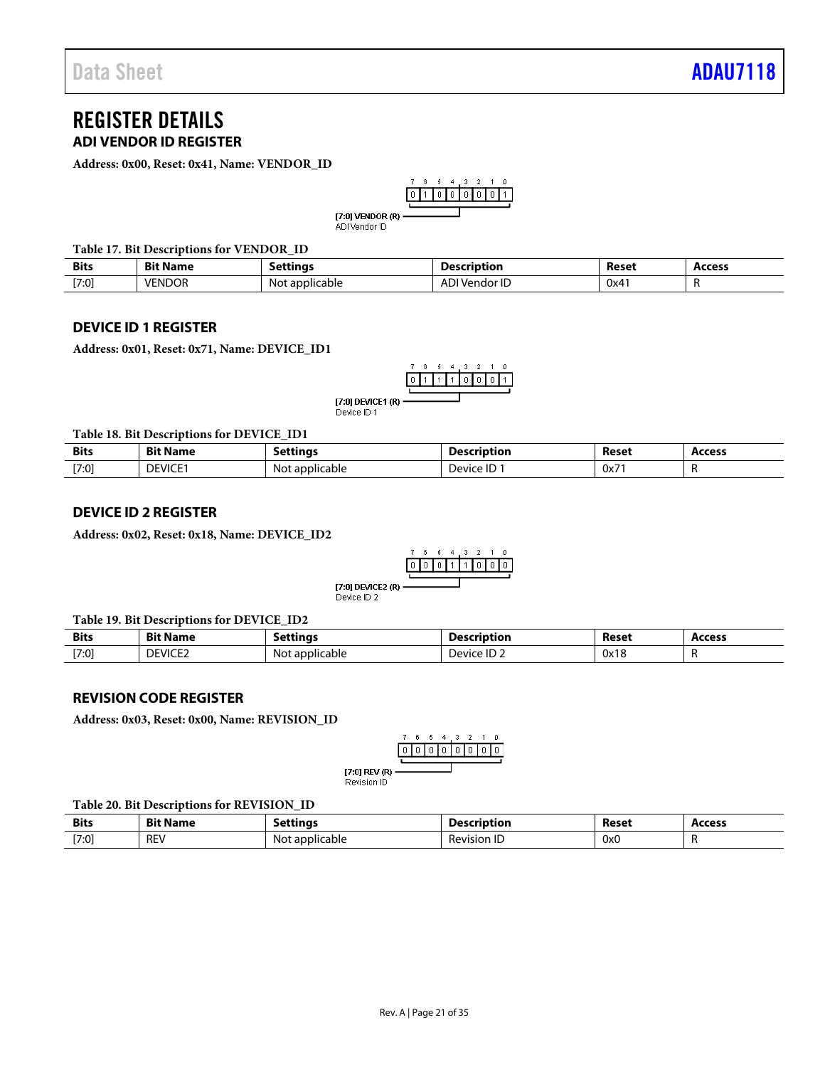### <span id="page-20-0"></span>REGISTER DETAILS **ADI VENDOR ID REGISTER**

<span id="page-20-1"></span>**Address: 0x00, Reset: 0x41, Name: VENDOR\_ID**

$$
\begin{array}{c|cccc}\n7 & 6 & 6 & 4 & 3 & 2 & 1 & 0 \\
\hline\n0 & 1 & 0 & 0 & 0 & 0 & 0 & 1 \\
\hline\n\end{array}
$$

[7:0] VENDOR  $(R)$  -ADI Vendor ID

**Table 17. Bit Descriptions for VENDOR\_ID**

| <b>Bits</b> | $\sim$<br>Ri<br>Name | attinarد.       | escription                            | Reset | Access |
|-------------|----------------------|-----------------|---------------------------------------|-------|--------|
| $[7:0]$     | <b>VENDOR</b>        | plicable<br>പറ' | <u>המי</u><br>ıaor ı∪<br>$\mathbf{u}$ | 0x4.  | . .    |

### <span id="page-20-2"></span>**DEVICE ID 1 REGISTER**

**Address: 0x01, Reset: 0x71, Name: DEVICE\_ID1**

$$
\begin{array}{c|cccc}\n7 & 6 & 6 & 4 & 3 & 2 & 1 & 0 \\
\hline\n0 & 1 & 1 & 1 & 0 & 0 & 0 & 1 \\
\hline\n1 & 0 & 0 & 0 & 0 & 1\n\end{array}
$$

[7:0] DEVICE1 (R) ----Device ID 1

**Table 18. Bit Descriptions for DEVICE\_ID1**

| <b>Bits</b><br>$  -$ | <b>Rit N</b><br>۹am | <b>Lunas</b><br>$\cdot$ | escription                            | Reset<br>. | Access |
|----------------------|---------------------|-------------------------|---------------------------------------|------------|--------|
| [7:0]                | DEVICE <sup>®</sup> | applicable<br>Not       | $\overline{\phantom{a}}$<br>Device IL | 0x71       |        |

### <span id="page-20-3"></span>**DEVICE ID 2 REGISTER**

**Address: 0x02, Reset: 0x18, Name: DEVICE\_ID2**

$$
\begin{array}{c|cccc}\n7 & 6 & 5 & 4 & 3 & 2 & 1 & 0 \\
\hline\n0 & 0 & 0 & 1 & 1 & 0 & 0 & 0 \\
\hline\n\end{array}
$$

[7:0] DEVICE2 (R) -Device ID 2

### **Table 19. Bit Descriptions for DEVICE\_ID2**

| <b>Bits</b> | Bit N<br>Name  | ۔ettinaء            | Description                                    | Reset                 | Access |
|-------------|----------------|---------------------|------------------------------------------------|-----------------------|--------|
| [7:0]       | <b>DEVICE2</b> | Not<br>: applicable | $\overline{\phantom{a}}$<br>∽<br>Device<br>۰H. | 0x18<br>$\sim$ $\sim$ |        |

### <span id="page-20-4"></span>**REVISION CODE REGISTER**

**Address: 0x03, Reset: 0x00, Name: REVISION\_ID**

[7:0] REV (R) -Revision ID

### **Table 20. Bit Descriptions for REVISION\_ID**

| <b>Bits</b> | DIA NI<br>۱am<br>ы |                                    | scription            | Reset<br>. | <b>Access</b><br>. |
|-------------|--------------------|------------------------------------|----------------------|------------|--------------------|
| [7:0]       | <b>REV</b>         | applicable<br>No <sup>.</sup><br>. | -<br>. -<br>Revision | 0x0        | . .                |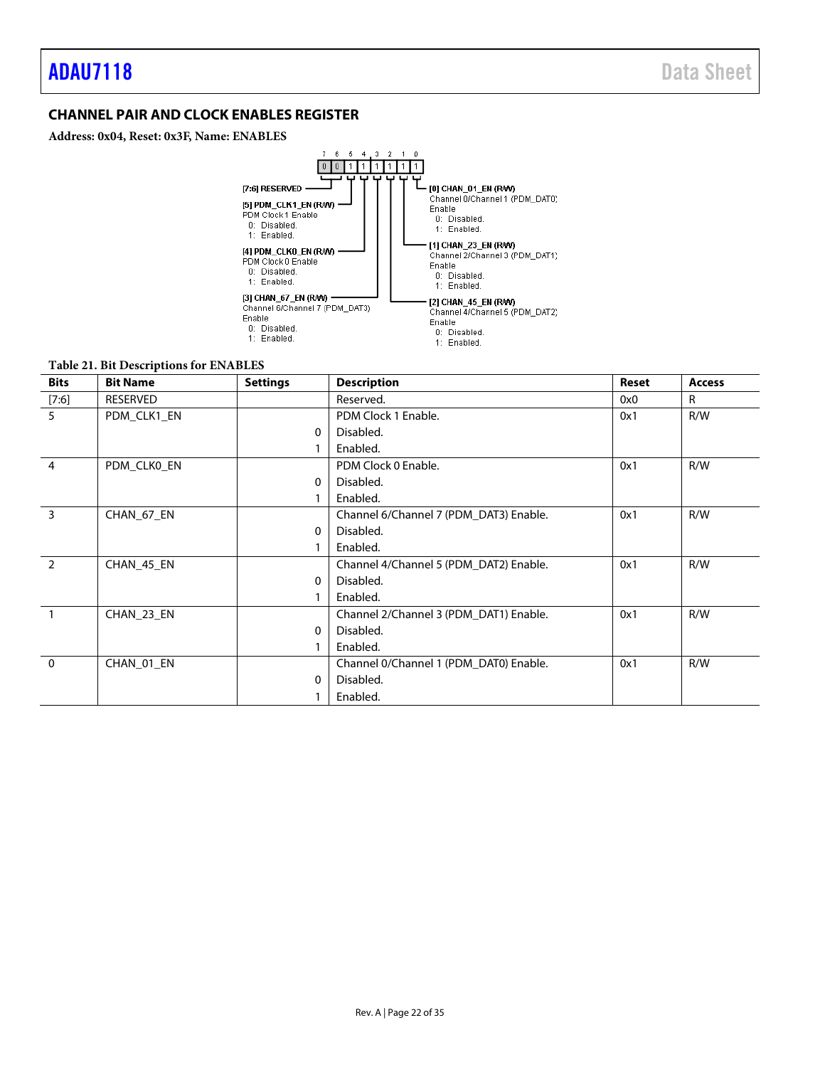### <span id="page-21-0"></span>**CHANNEL PAIR AND CLOCK ENABLES REGISTER**

**Address: 0x04, Reset: 0x3F, Name: ENABLES**

![](_page_21_Figure_4.jpeg)

### **Table 21. Bit Descriptions for ENABLES**

| <b>Bits</b>   | <b>Bit Name</b> | <b>Settings</b> | <b>Description</b>                     | <b>Reset</b> | <b>Access</b> |
|---------------|-----------------|-----------------|----------------------------------------|--------------|---------------|
| $[7:6]$       | <b>RESERVED</b> |                 | Reserved.                              | 0x0          | R             |
| 5             | PDM_CLK1_EN     |                 | PDM Clock 1 Enable.                    | 0x1          | R/W           |
|               |                 | $\Omega$        | Disabled.                              |              |               |
|               |                 |                 | Enabled.                               |              |               |
| 4             | PDM_CLK0_EN     |                 | PDM Clock 0 Enable.                    | 0x1          | R/W           |
|               |                 | 0               | Disabled.                              |              |               |
|               |                 |                 | Enabled.                               |              |               |
| 3             | CHAN_67_EN      |                 | Channel 6/Channel 7 (PDM_DAT3) Enable. | 0x1          | R/W           |
|               |                 | $\Omega$        | Disabled.                              |              |               |
|               |                 |                 | Enabled.                               |              |               |
| $\mathcal{P}$ | CHAN_45_EN      |                 | Channel 4/Channel 5 (PDM_DAT2) Enable. | 0x1          | R/W           |
|               |                 | 0               | Disabled.                              |              |               |
|               |                 |                 | Enabled.                               |              |               |
|               | CHAN 23 EN      |                 | Channel 2/Channel 3 (PDM DAT1) Enable. | 0x1          | R/W           |
|               |                 | 0               | Disabled.                              |              |               |
|               |                 |                 | Enabled.                               |              |               |
| $\mathbf{0}$  | CHAN 01 EN      |                 | Channel 0/Channel 1 (PDM_DAT0) Enable. | 0x1          | R/W           |
|               |                 | 0               | Disabled.                              |              |               |
|               |                 |                 | Enabled.                               |              |               |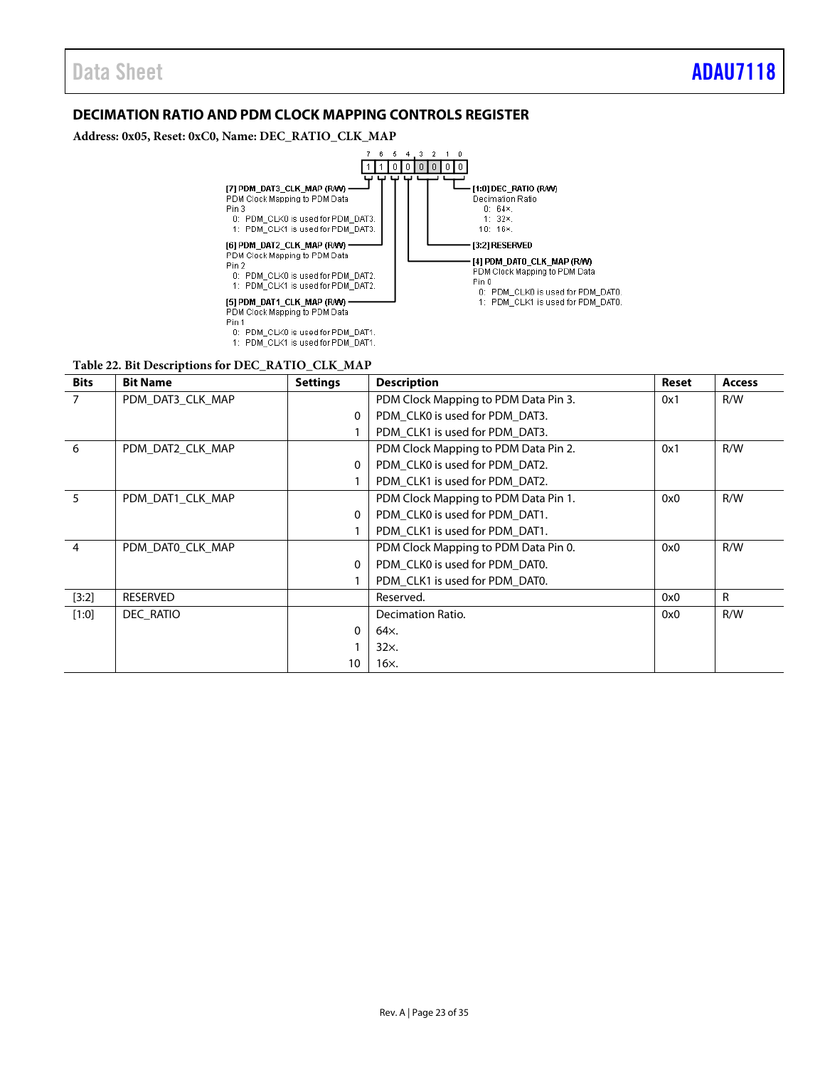### <span id="page-22-0"></span>**DECIMATION RATIO AND PDM CLOCK MAPPING CONTROLS REGISTER**

**Address: 0x05, Reset: 0xC0, Name: DEC\_RATIO\_CLK\_MAP**

![](_page_22_Figure_4.jpeg)

### **Table 22. Bit Descriptions for DEC\_RATIO\_CLK\_MAP**

| <b>Bits</b> | <b>Bit Name</b>  | <b>Settings</b> | <b>Description</b>                   | Reset | <b>Access</b> |
|-------------|------------------|-----------------|--------------------------------------|-------|---------------|
| 7           | PDM DAT3 CLK MAP |                 | PDM Clock Mapping to PDM Data Pin 3. | 0x1   | R/W           |
|             |                  | 0               | PDM CLK0 is used for PDM DAT3.       |       |               |
|             |                  |                 | PDM_CLK1 is used for PDM_DAT3.       |       |               |
| 6           | PDM DAT2 CLK MAP |                 | PDM Clock Mapping to PDM Data Pin 2. | 0x1   | R/W           |
|             |                  | 0               | PDM CLK0 is used for PDM DAT2.       |       |               |
|             |                  |                 | PDM CLK1 is used for PDM DAT2.       |       |               |
| 5           | PDM DAT1 CLK MAP |                 | PDM Clock Mapping to PDM Data Pin 1. | 0x0   | R/W           |
|             |                  | 0               | PDM CLK0 is used for PDM DAT1.       |       |               |
|             |                  |                 | PDM_CLK1 is used for PDM_DAT1.       |       |               |
| 4           | PDM DATO CLK MAP |                 | PDM Clock Mapping to PDM Data Pin 0. | 0x0   | R/W           |
|             |                  | 0               | PDM CLK0 is used for PDM DAT0.       |       |               |
|             |                  |                 | PDM_CLK1 is used for PDM_DAT0.       |       |               |
| $[3:2]$     | <b>RESERVED</b>  |                 | Reserved.                            | 0x0   | R             |
| $[1:0]$     | DEC RATIO        |                 | Decimation Ratio.                    | 0x0   | R/W           |
|             |                  | 0               | 64x.                                 |       |               |
|             |                  |                 | 32x.                                 |       |               |
|             |                  | 10              | 16x.                                 |       |               |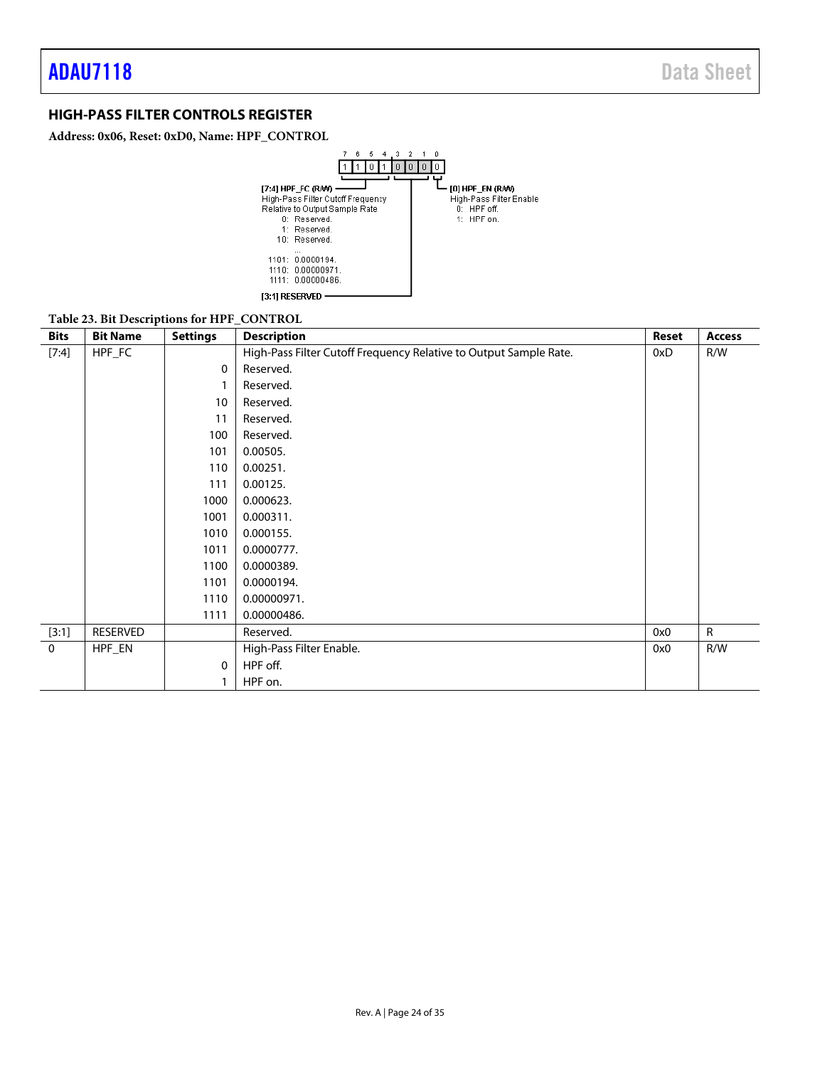### <span id="page-23-0"></span>**HIGH-PASS FILTER CONTROLS REGISTER**

**Address: 0x06, Reset: 0xD0, Name: HPF\_CONTROL**

![](_page_23_Figure_4.jpeg)

### **Table 23. Bit Descriptions for HPF\_CONTROL**

| <b>Bits</b> | <b>Bit Name</b> | <b>Settings</b> | <b>Description</b>                                                | <b>Reset</b> | <b>Access</b> |
|-------------|-----------------|-----------------|-------------------------------------------------------------------|--------------|---------------|
| [7:4]       | HPF_FC          |                 | High-Pass Filter Cutoff Frequency Relative to Output Sample Rate. | 0xD          | R/W           |
|             |                 | 0               | Reserved.                                                         |              |               |
|             |                 |                 | Reserved.                                                         |              |               |
|             |                 | 10              | Reserved.                                                         |              |               |
|             |                 | 11              | Reserved.                                                         |              |               |
|             |                 | 100             | Reserved.                                                         |              |               |
|             |                 | 101             | 0.00505.                                                          |              |               |
|             |                 | 110             | 0.00251.                                                          |              |               |
|             |                 | 111             | 0.00125.                                                          |              |               |
|             |                 | 1000            | 0.000623.                                                         |              |               |
|             |                 | 1001            | 0.000311.                                                         |              |               |
|             |                 | 1010            | 0.000155.                                                         |              |               |
|             |                 | 1011            | 0.0000777.                                                        |              |               |
|             |                 | 1100            | 0.0000389.                                                        |              |               |
|             |                 | 1101            | 0.0000194.                                                        |              |               |
|             |                 | 1110            | 0.00000971.                                                       |              |               |
|             |                 | 1111            | 0.00000486.                                                       |              |               |
| [3:1]       | RESERVED        |                 | Reserved.                                                         | 0x0          | $\mathsf{R}$  |
| $\mathbf 0$ | HPF_EN          |                 | High-Pass Filter Enable.                                          | 0x0          | R/W           |
|             |                 | 0               | HPF off.                                                          |              |               |
|             |                 |                 | HPF on.                                                           |              |               |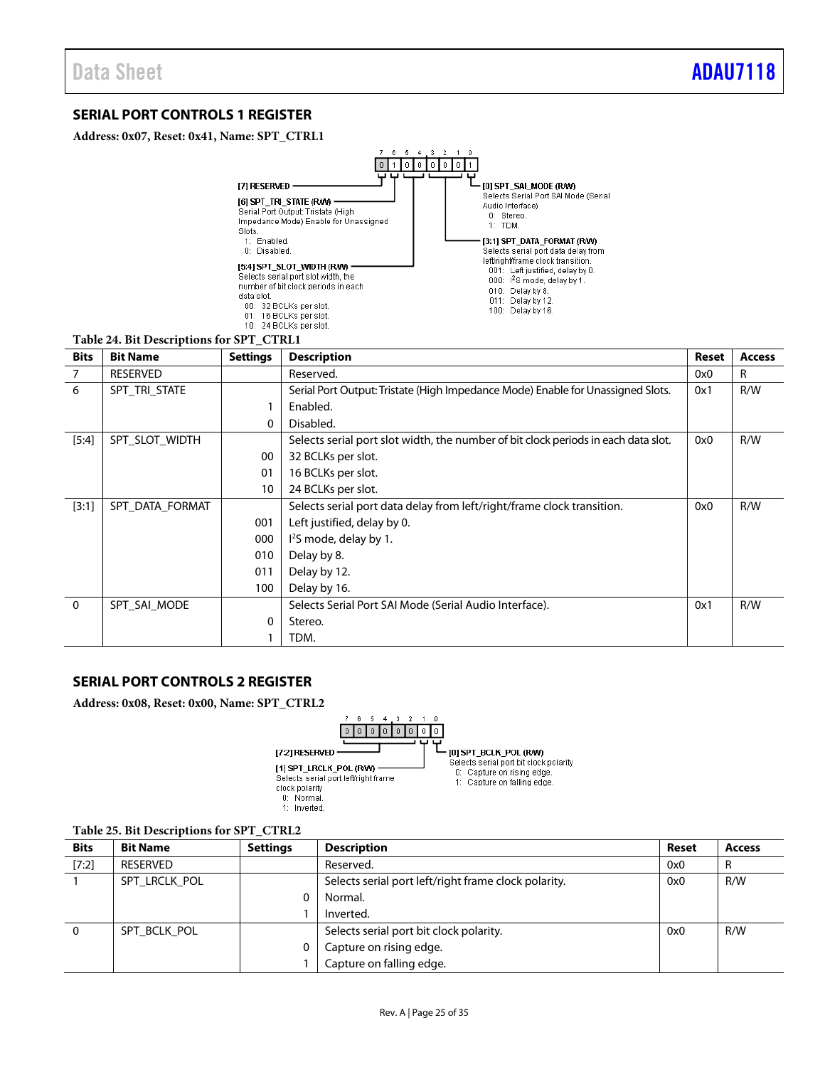### <span id="page-24-0"></span>**SERIAL PORT CONTROLS 1 REGISTER**

**Address: 0x07, Reset: 0x41, Name: SPT\_CTRL1**

![](_page_24_Figure_4.jpeg)

| <b>Bits</b> | <b>Bit Name</b> | <b>Settings</b> | <b>Description</b>                                                                 | Reset | <b>Access</b> |
|-------------|-----------------|-----------------|------------------------------------------------------------------------------------|-------|---------------|
| 7           | <b>RESERVED</b> |                 | Reserved.                                                                          | 0x0   | $\mathsf{R}$  |
| 6           | SPT TRI STATE   |                 | Serial Port Output: Tristate (High Impedance Mode) Enable for Unassigned Slots.    | 0x1   | R/W           |
|             |                 |                 | Enabled.                                                                           |       |               |
|             |                 | 0               | Disabled.                                                                          |       |               |
| $[5:4]$     | SPT_SLOT_WIDTH  |                 | Selects serial port slot width, the number of bit clock periods in each data slot. | 0x0   | R/W           |
|             |                 | 00              | 32 BCLKs per slot.                                                                 |       |               |
|             |                 | 01              | 16 BCLKs per slot.                                                                 |       |               |
|             |                 | 10              | 24 BCLKs per slot.                                                                 |       |               |
| [3:1]       | SPT DATA FORMAT |                 | Selects serial port data delay from left/right/frame clock transition.             | 0x0   | R/W           |
|             |                 | 001             | Left justified, delay by 0.                                                        |       |               |
|             |                 | 000             | I <sup>2</sup> S mode, delay by 1.                                                 |       |               |
|             |                 | 010             | Delay by 8.                                                                        |       |               |
|             |                 | 011             | Delay by 12.                                                                       |       |               |
|             |                 | 100             | Delay by 16.                                                                       |       |               |
| $\Omega$    | SPT SAI MODE    |                 | Selects Serial Port SAI Mode (Serial Audio Interface).                             | 0x1   | R/W           |
|             |                 | 0               | Stereo.                                                                            |       |               |
|             |                 |                 | TDM.                                                                               |       |               |

### **SERIAL PORT CONTROLS 2 REGISTER**

**Address: 0x08, Reset: 0x00, Name: SPT\_CTRL2**

![](_page_24_Figure_8.jpeg)

### **Table 25. Bit Descriptions for SPT\_CTRL2**

| <b>Bits</b> | <b>Bit Name</b> | <b>Settings</b> | <b>Description</b>                                   | Reset | <b>Access</b> |
|-------------|-----------------|-----------------|------------------------------------------------------|-------|---------------|
| [7:2]       | RESERVED        |                 | Reserved.                                            | 0x0   | R             |
|             | SPT LRCLK POL   |                 | Selects serial port left/right frame clock polarity. | 0x0   | R/W           |
|             |                 |                 | Normal.                                              |       |               |
|             |                 |                 | Inverted.                                            |       |               |
| 0           | SPT BCLK POL    |                 | Selects serial port bit clock polarity.              | 0x0   | R/W           |
|             |                 |                 | Capture on rising edge.                              |       |               |
|             |                 |                 | Capture on falling edge.                             |       |               |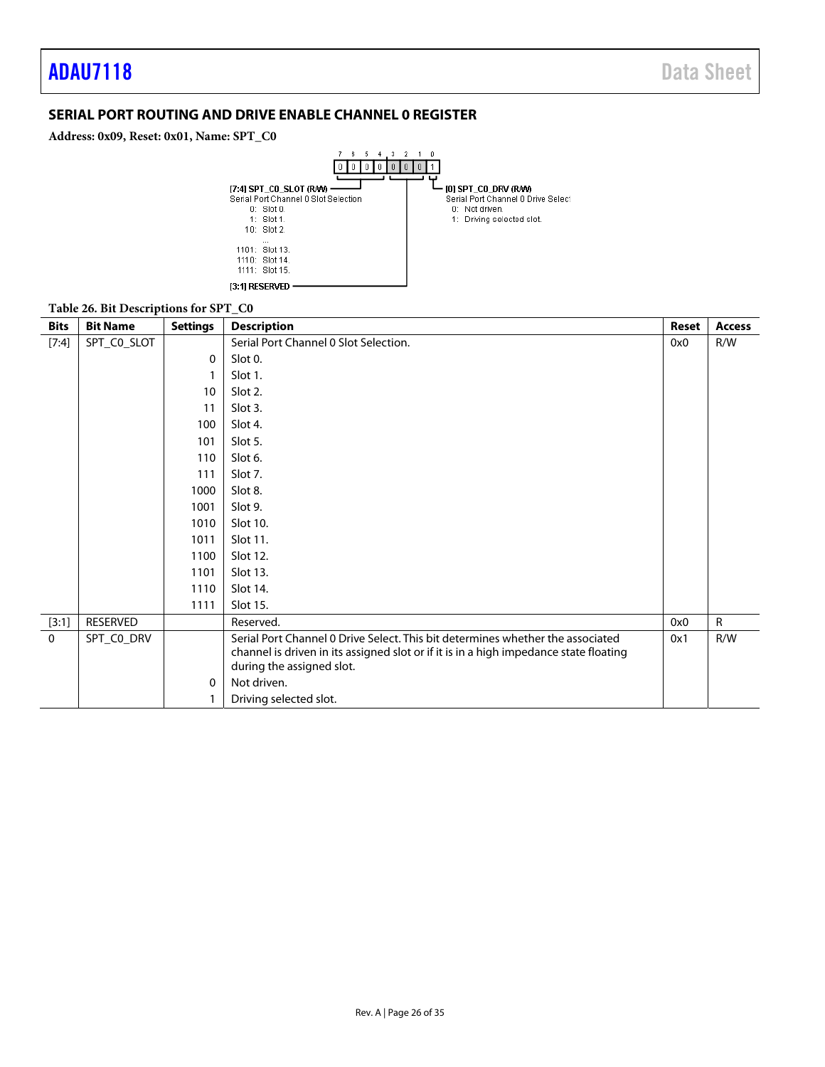### <span id="page-25-0"></span>**SERIAL PORT ROUTING AND DRIVE ENABLE CHANNEL 0 REGISTER**

**Address: 0x09, Reset: 0x01, Name: SPT\_C0**

![](_page_25_Figure_4.jpeg)

### **Table 26. Bit Descriptions for SPT\_C0**

| <b>Bits</b> | <b>Bit Name</b> | <b>Settings</b> | <b>Description</b>                                                                                                                                                      | Reset | <b>Access</b> |
|-------------|-----------------|-----------------|-------------------------------------------------------------------------------------------------------------------------------------------------------------------------|-------|---------------|
| [7:4]       | SPT_CO_SLOT     |                 | Serial Port Channel 0 Slot Selection.                                                                                                                                   | 0x0   | R/W           |
|             |                 | $\mathbf{0}$    | Slot 0.                                                                                                                                                                 |       |               |
|             |                 |                 | Slot 1.                                                                                                                                                                 |       |               |
|             |                 | 10              | Slot 2.                                                                                                                                                                 |       |               |
|             |                 | 11              | Slot 3.                                                                                                                                                                 |       |               |
|             |                 | 100             | Slot 4.                                                                                                                                                                 |       |               |
|             |                 | 101             | Slot 5.                                                                                                                                                                 |       |               |
|             |                 | 110             | Slot 6.                                                                                                                                                                 |       |               |
|             |                 | 111             | Slot 7.                                                                                                                                                                 |       |               |
|             |                 | 1000            | Slot 8.                                                                                                                                                                 |       |               |
|             |                 | 1001            | Slot 9.                                                                                                                                                                 |       |               |
|             |                 | 1010            | Slot 10.                                                                                                                                                                |       |               |
|             |                 | 1011            | Slot 11.                                                                                                                                                                |       |               |
|             |                 | 1100            | Slot 12.                                                                                                                                                                |       |               |
|             |                 | 1101            | Slot 13.                                                                                                                                                                |       |               |
|             |                 | 1110            | Slot 14.                                                                                                                                                                |       |               |
|             |                 | 1111            | Slot 15.                                                                                                                                                                |       |               |
| [3:1]       | RESERVED        |                 | Reserved.                                                                                                                                                               | 0x0   | $\mathsf{R}$  |
| $\mathbf 0$ | SPT_CO_DRV      |                 | Serial Port Channel 0 Drive Select. This bit determines whether the associated<br>channel is driven in its assigned slot or if it is in a high impedance state floating | 0x1   | R/W           |
|             |                 |                 | during the assigned slot.                                                                                                                                               |       |               |
|             |                 | $\Omega$        | Not driven.                                                                                                                                                             |       |               |
|             |                 |                 | Driving selected slot.                                                                                                                                                  |       |               |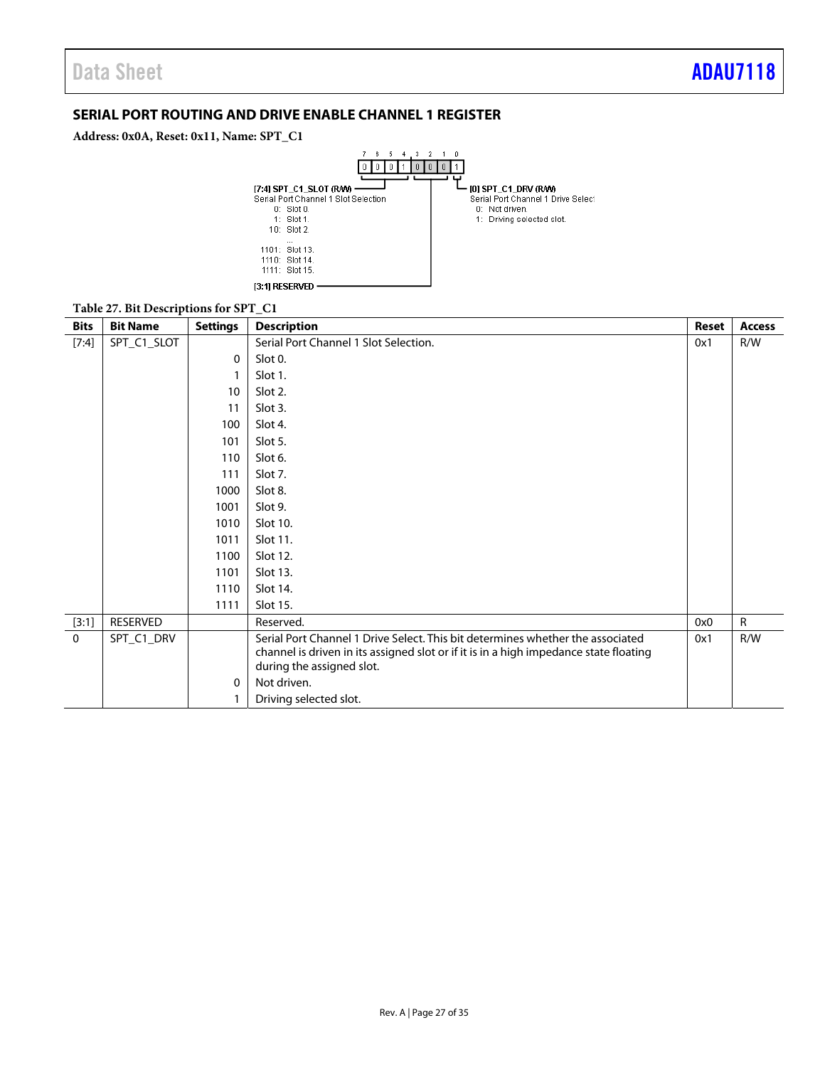### <span id="page-26-0"></span>**SERIAL PORT ROUTING AND DRIVE ENABLE CHANNEL 1 REGISTER**

**Address: 0x0A, Reset: 0x11, Name: SPT\_C1**

![](_page_26_Figure_4.jpeg)

#### **Table 27. Bit Descriptions for SPT\_C1**

| <b>Bits</b> | <b>Bit Name</b> | <b>Settings</b> | <b>Description</b>                                                                    | <b>Reset</b> | <b>Access</b> |
|-------------|-----------------|-----------------|---------------------------------------------------------------------------------------|--------------|---------------|
| [7:4]       | SPT_C1_SLOT     |                 | Serial Port Channel 1 Slot Selection.                                                 | 0x1          | R/W           |
|             |                 | 0               | Slot 0.                                                                               |              |               |
|             |                 |                 | Slot 1.                                                                               |              |               |
|             |                 | 10              | Slot 2.                                                                               |              |               |
|             |                 | 11              | Slot 3.                                                                               |              |               |
|             |                 | 100             | Slot 4.                                                                               |              |               |
|             |                 | 101             | Slot 5.                                                                               |              |               |
|             |                 | 110             | Slot 6.                                                                               |              |               |
|             |                 | 111             | Slot 7.                                                                               |              |               |
|             |                 | 1000            | Slot 8.                                                                               |              |               |
|             |                 | 1001            | Slot 9.                                                                               |              |               |
|             |                 | 1010            | Slot 10.                                                                              |              |               |
|             |                 | 1011            | Slot 11.                                                                              |              |               |
|             |                 | 1100            | Slot 12.                                                                              |              |               |
|             |                 | 1101            | Slot 13.                                                                              |              |               |
|             |                 | 1110            | Slot 14.                                                                              |              |               |
|             |                 | 1111            | Slot 15.                                                                              |              |               |
| [3:1]       | RESERVED        |                 | Reserved.                                                                             | 0x0          | $\mathsf{R}$  |
| $\Omega$    | SPT_C1_DRV      |                 | Serial Port Channel 1 Drive Select. This bit determines whether the associated        | 0x1          | R/W           |
|             |                 |                 | channel is driven in its assigned slot or if it is in a high impedance state floating |              |               |
|             |                 |                 | during the assigned slot.                                                             |              |               |
|             |                 | 0               | Not driven.                                                                           |              |               |
|             |                 |                 | Driving selected slot.                                                                |              |               |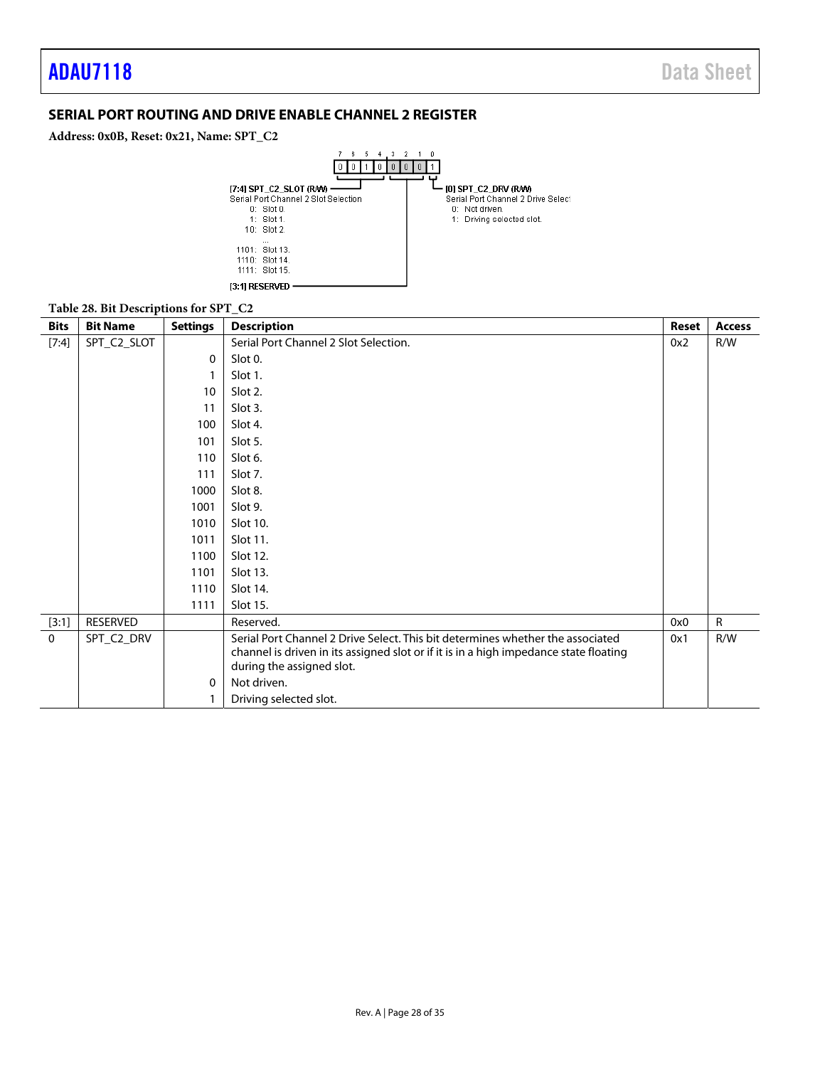### <span id="page-27-0"></span>**SERIAL PORT ROUTING AND DRIVE ENABLE CHANNEL 2 REGISTER**

**Address: 0x0B, Reset: 0x21, Name: SPT\_C2**

![](_page_27_Figure_4.jpeg)

#### **Table 28. Bit Descriptions for SPT\_C2**

| <b>Bits</b>  | <b>Bit Name</b> | <b>Settings</b> | <b>Description</b>                                                                    | Reset | <b>Access</b> |
|--------------|-----------------|-----------------|---------------------------------------------------------------------------------------|-------|---------------|
| [7:4]        | SPT_C2_SLOT     |                 | Serial Port Channel 2 Slot Selection.                                                 | 0x2   | R/W           |
|              |                 | $\mathbf{0}$    | Slot 0.                                                                               |       |               |
|              |                 |                 | Slot 1.                                                                               |       |               |
|              |                 | 10              | Slot 2.                                                                               |       |               |
|              |                 | 11              | Slot 3.                                                                               |       |               |
|              |                 | 100             | Slot 4.                                                                               |       |               |
|              |                 | 101             | Slot 5.                                                                               |       |               |
|              |                 | 110             | Slot 6.                                                                               |       |               |
|              |                 | 111             | Slot 7.                                                                               |       |               |
|              |                 | 1000            | Slot 8.                                                                               |       |               |
|              |                 | 1001            | Slot 9.                                                                               |       |               |
|              |                 | 1010            | Slot 10.                                                                              |       |               |
|              |                 | 1011            | Slot 11.                                                                              |       |               |
|              |                 | 1100            | Slot 12.                                                                              |       |               |
|              |                 | 1101            | Slot 13.                                                                              |       |               |
|              |                 | 1110            | Slot 14.                                                                              |       |               |
|              |                 | 1111            | Slot 15.                                                                              |       |               |
| [3:1]        | RESERVED        |                 | Reserved.                                                                             | 0x0   | $\mathsf{R}$  |
| $\mathbf{0}$ | SPT_C2_DRV      |                 | Serial Port Channel 2 Drive Select. This bit determines whether the associated        | 0x1   | R/W           |
|              |                 |                 | channel is driven in its assigned slot or if it is in a high impedance state floating |       |               |
|              |                 |                 | during the assigned slot.                                                             |       |               |
|              |                 | $\Omega$        | Not driven.                                                                           |       |               |
|              |                 |                 | Driving selected slot.                                                                |       |               |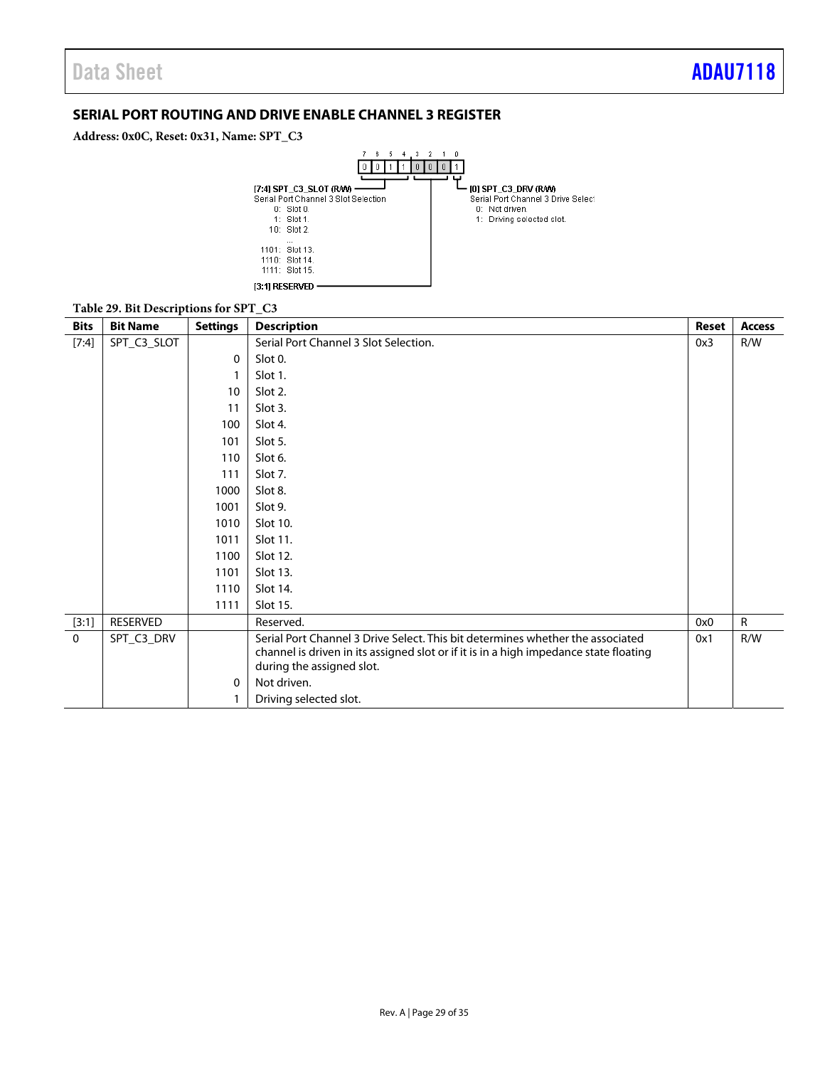### <span id="page-28-0"></span>**SERIAL PORT ROUTING AND DRIVE ENABLE CHANNEL 3 REGISTER**

**Address: 0x0C, Reset: 0x31, Name: SPT\_C3**

![](_page_28_Figure_4.jpeg)

#### **Table 29. Bit Descriptions for SPT\_C3**

| <b>Bits</b> | <b>Bit Name</b> | <b>Settings</b> | <b>Description</b>                                                                    | <b>Reset</b> | <b>Access</b> |
|-------------|-----------------|-----------------|---------------------------------------------------------------------------------------|--------------|---------------|
| [7:4]       | SPT_C3_SLOT     |                 | Serial Port Channel 3 Slot Selection.                                                 | 0x3          | R/W           |
|             |                 | 0               | Slot 0.                                                                               |              |               |
|             |                 |                 | Slot 1.                                                                               |              |               |
|             |                 | 10              | Slot 2.                                                                               |              |               |
|             |                 | 11              | Slot 3.                                                                               |              |               |
|             |                 | 100             | Slot 4.                                                                               |              |               |
|             |                 | 101             | Slot 5.                                                                               |              |               |
|             |                 | 110             | Slot 6.                                                                               |              |               |
|             |                 | 111             | Slot 7.                                                                               |              |               |
|             |                 | 1000            | Slot 8.                                                                               |              |               |
|             |                 | 1001            | Slot 9.                                                                               |              |               |
|             |                 | 1010            | Slot 10.                                                                              |              |               |
|             |                 | 1011            | Slot 11.                                                                              |              |               |
|             |                 | 1100            | Slot 12.                                                                              |              |               |
|             |                 | 1101            | Slot 13.                                                                              |              |               |
|             |                 | 1110            | Slot 14.                                                                              |              |               |
|             |                 | 1111            | Slot 15.                                                                              |              |               |
| [3:1]       | RESERVED        |                 | Reserved.                                                                             | 0x0          | $\mathsf{R}$  |
| $\Omega$    | SPT_C3_DRV      |                 | Serial Port Channel 3 Drive Select. This bit determines whether the associated        | 0x1          | R/W           |
|             |                 |                 | channel is driven in its assigned slot or if it is in a high impedance state floating |              |               |
|             |                 |                 | during the assigned slot.                                                             |              |               |
|             |                 | 0               | Not driven.                                                                           |              |               |
|             |                 |                 | Driving selected slot.                                                                |              |               |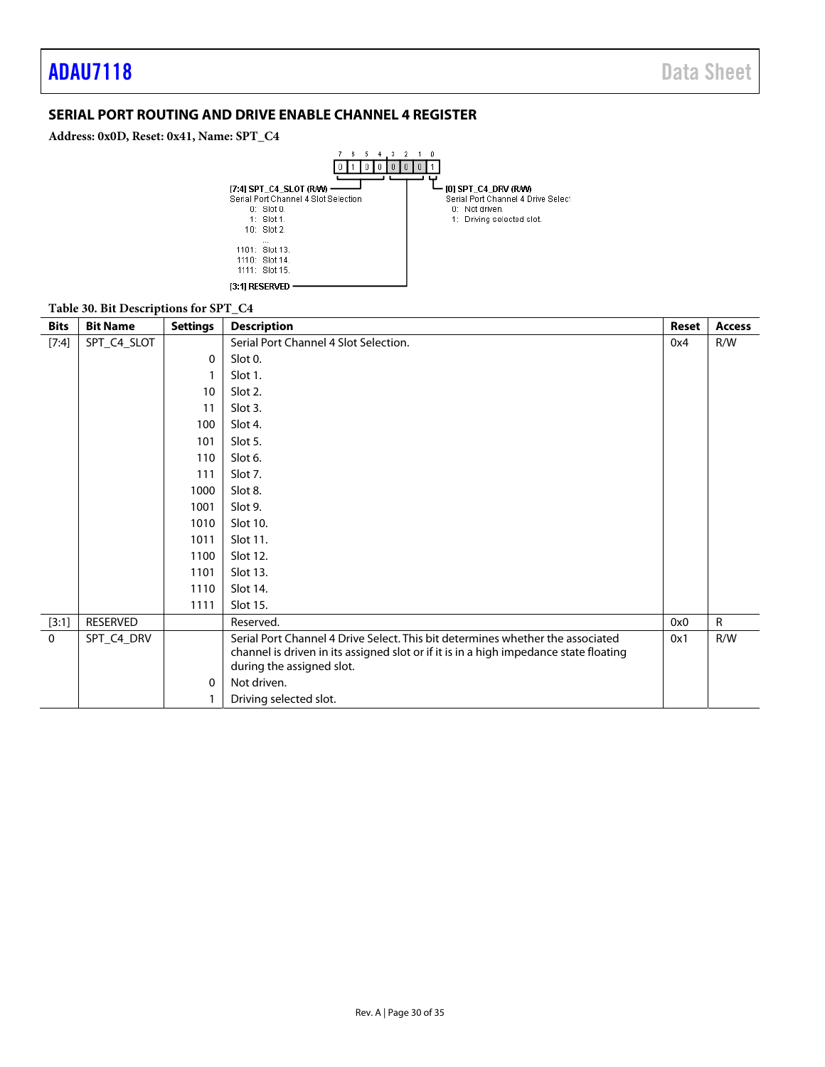### <span id="page-29-0"></span>**SERIAL PORT ROUTING AND DRIVE ENABLE CHANNEL 4 REGISTER**

### **Address: 0x0D, Reset: 0x41, Name: SPT\_C4**

![](_page_29_Figure_4.jpeg)

### **Table 30. Bit Descriptions for SPT\_C4**

| <b>Bits</b> | <b>Bit Name</b> | <b>Settings</b> | <b>Description</b>                                                                                                                                                                                   |     | <b>Access</b> |
|-------------|-----------------|-----------------|------------------------------------------------------------------------------------------------------------------------------------------------------------------------------------------------------|-----|---------------|
| [7:4]       | SPT_C4_SLOT     |                 | Serial Port Channel 4 Slot Selection.                                                                                                                                                                | 0x4 | R/W           |
|             |                 | $\Omega$        | Slot 0.                                                                                                                                                                                              |     |               |
|             |                 |                 | Slot 1.                                                                                                                                                                                              |     |               |
|             |                 | 10              | Slot 2.                                                                                                                                                                                              |     |               |
|             |                 | 11              | Slot 3.                                                                                                                                                                                              |     |               |
|             |                 | 100             | Slot 4.                                                                                                                                                                                              |     |               |
|             |                 | 101             | Slot 5.                                                                                                                                                                                              |     |               |
|             |                 | 110             | Slot 6.                                                                                                                                                                                              |     |               |
|             |                 | 111             | Slot 7.                                                                                                                                                                                              |     |               |
|             |                 | 1000            | Slot 8.                                                                                                                                                                                              |     |               |
|             |                 | 1001            | Slot 9.                                                                                                                                                                                              |     |               |
|             |                 | 1010            | Slot 10.                                                                                                                                                                                             |     |               |
|             |                 | 1011            | Slot 11.                                                                                                                                                                                             |     |               |
|             |                 | 1100            | Slot 12.                                                                                                                                                                                             |     |               |
|             |                 | 1101            | Slot 13.                                                                                                                                                                                             |     |               |
|             |                 | 1110            | Slot 14.                                                                                                                                                                                             |     |               |
|             |                 | 1111            | Slot 15.                                                                                                                                                                                             |     |               |
| [3:1]       | RESERVED        |                 | Reserved.                                                                                                                                                                                            | 0x0 | $\mathsf{R}$  |
| $\mathbf 0$ | SPT_C4_DRV      |                 | Serial Port Channel 4 Drive Select. This bit determines whether the associated<br>channel is driven in its assigned slot or if it is in a high impedance state floating<br>during the assigned slot. | 0x1 | R/W           |
|             |                 | $\Omega$        | Not driven.                                                                                                                                                                                          |     |               |
|             |                 |                 | Driving selected slot.                                                                                                                                                                               |     |               |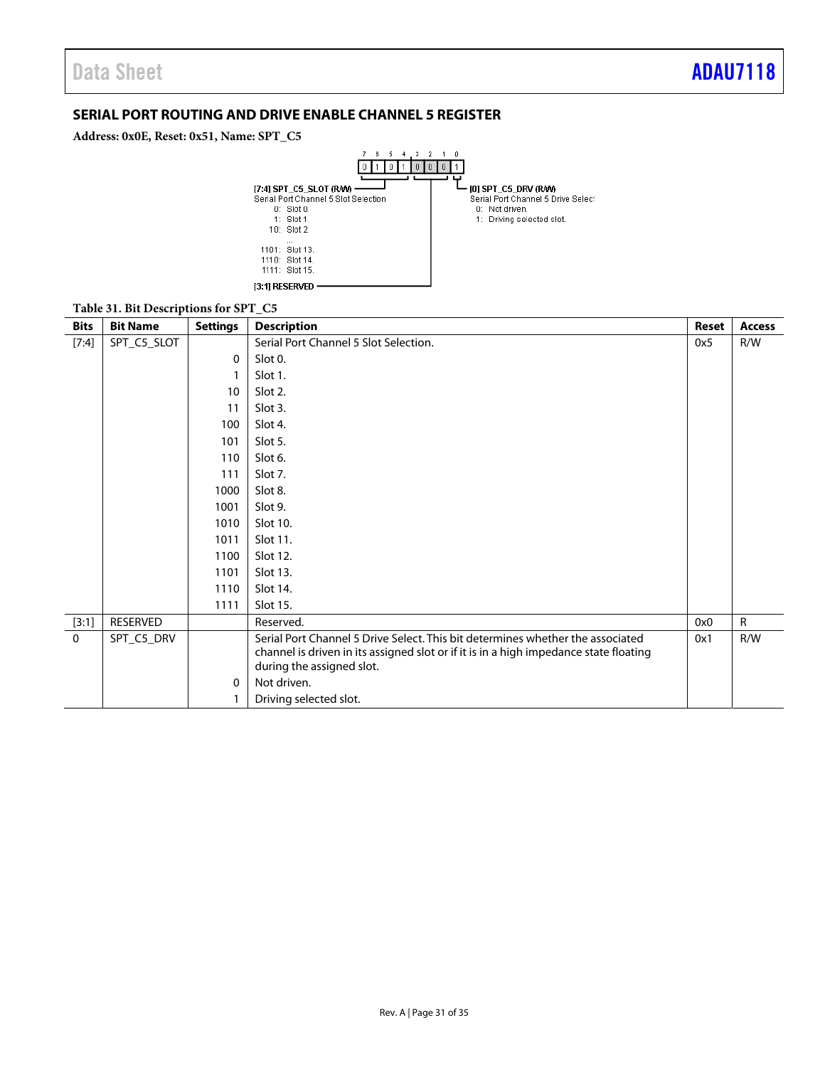### <span id="page-30-0"></span>**SERIAL PORT ROUTING AND DRIVE ENABLE CHANNEL 5 REGISTER**

**Address: 0x0E, Reset: 0x51, Name: SPT\_C5**

![](_page_30_Figure_4.jpeg)

#### **Table 31. Bit Descriptions for SPT\_C5**

| <b>Bits</b> | л.<br><b>Bit Name</b> | <b>Settings</b> | <b>Description</b>                                                                    | <b>Reset</b> | <b>Access</b> |
|-------------|-----------------------|-----------------|---------------------------------------------------------------------------------------|--------------|---------------|
| [7:4]       | SPT_C5_SLOT           |                 | Serial Port Channel 5 Slot Selection.                                                 |              | R/W           |
|             |                       | $\Omega$        | Slot 0.                                                                               |              |               |
|             |                       |                 | Slot 1.                                                                               |              |               |
|             |                       | 10              | Slot 2.                                                                               |              |               |
|             |                       | 11              | Slot 3.                                                                               |              |               |
|             |                       | 100             | Slot 4.                                                                               |              |               |
|             |                       | 101             | Slot 5.                                                                               |              |               |
|             |                       | 110             | Slot 6.                                                                               |              |               |
|             |                       | 111             | Slot 7.                                                                               |              |               |
|             |                       | 1000            | Slot 8.                                                                               |              |               |
|             |                       | 1001            | Slot 9.                                                                               |              |               |
|             |                       | 1010            | Slot 10.                                                                              |              |               |
|             |                       | 1011            | Slot 11.                                                                              |              |               |
|             |                       | 1100            | Slot 12.                                                                              |              |               |
|             |                       | 1101            | Slot 13.                                                                              |              |               |
|             |                       | 1110            | Slot 14.                                                                              |              |               |
|             |                       | 1111            | Slot 15.                                                                              |              |               |
| [3:1]       | RESERVED              |                 | Reserved.                                                                             | 0x0          | $\mathsf{R}$  |
| $\mathbf 0$ | SPT_C5_DRV            |                 | Serial Port Channel 5 Drive Select. This bit determines whether the associated        | 0x1          | R/W           |
|             |                       |                 | channel is driven in its assigned slot or if it is in a high impedance state floating |              |               |
|             |                       |                 | during the assigned slot.                                                             |              |               |
|             |                       | $\mathbf{0}$    | Not driven.                                                                           |              |               |
|             |                       |                 | Driving selected slot.                                                                |              |               |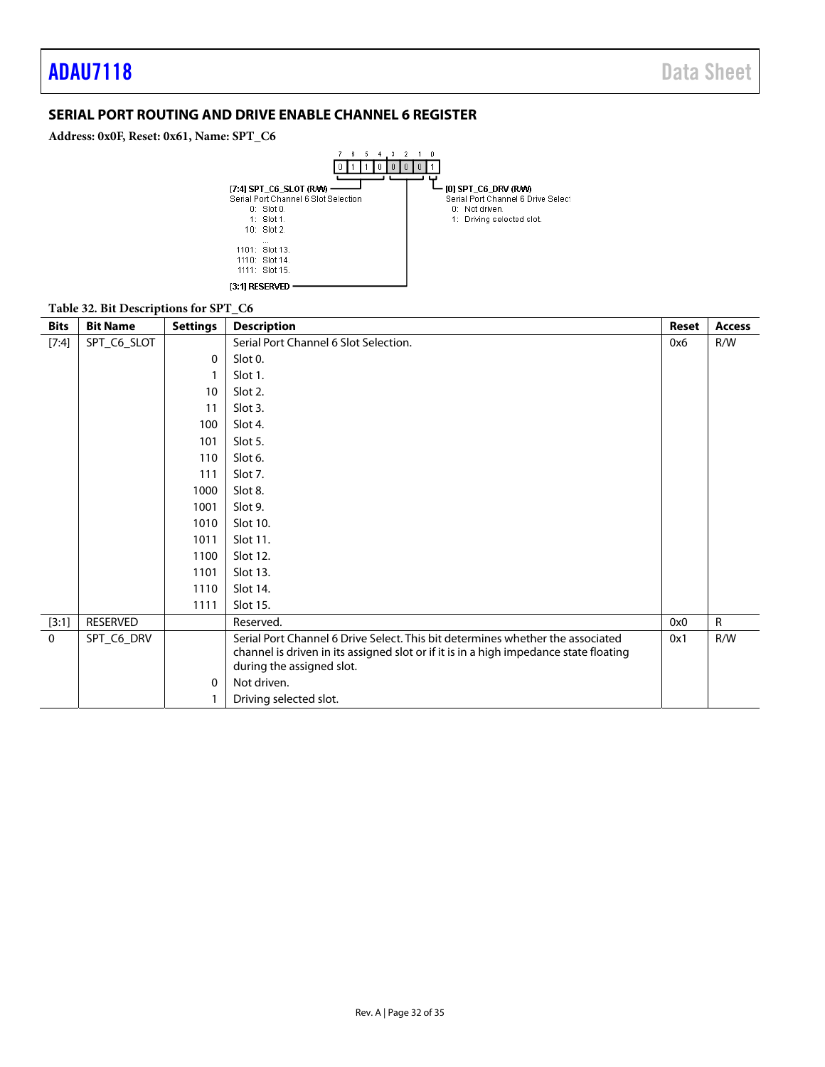### <span id="page-31-0"></span>**SERIAL PORT ROUTING AND DRIVE ENABLE CHANNEL 6 REGISTER**

### **Address: 0x0F, Reset: 0x61, Name: SPT\_C6**

![](_page_31_Figure_4.jpeg)

#### **Table 32. Bit Descriptions for SPT\_C6**

| <b>Bits</b> | <b>Bit Name</b> | <b>Settings</b> | <b>Description</b>                                                                    |     | <b>Access</b> |
|-------------|-----------------|-----------------|---------------------------------------------------------------------------------------|-----|---------------|
| [7:4]       | SPT_C6_SLOT     |                 | Serial Port Channel 6 Slot Selection.                                                 | 0x6 | R/W           |
|             |                 | 0               | Slot 0.                                                                               |     |               |
|             |                 |                 | Slot 1.                                                                               |     |               |
|             |                 | 10              | Slot 2.                                                                               |     |               |
|             |                 | 11              | Slot 3.                                                                               |     |               |
|             |                 | 100             | Slot 4.                                                                               |     |               |
|             |                 | 101             | Slot 5.                                                                               |     |               |
|             |                 | 110             | Slot 6.                                                                               |     |               |
|             |                 | 111             | Slot 7.                                                                               |     |               |
|             |                 | 1000            | Slot 8.                                                                               |     |               |
|             |                 | 1001            | Slot 9.                                                                               |     |               |
|             |                 | 1010            | Slot 10.                                                                              |     |               |
|             |                 | 1011            | Slot 11.                                                                              |     |               |
|             |                 | 1100            | Slot 12.                                                                              |     |               |
|             |                 | 1101            | Slot 13.                                                                              |     |               |
|             |                 | 1110            | Slot 14.                                                                              |     |               |
|             |                 | 1111            | Slot 15.                                                                              |     |               |
| [3:1]       | RESERVED        |                 | Reserved.                                                                             | 0x0 | $\mathsf{R}$  |
| $\mathbf 0$ | SPT_C6_DRV      |                 | Serial Port Channel 6 Drive Select. This bit determines whether the associated        | 0x1 | R/W           |
|             |                 |                 | channel is driven in its assigned slot or if it is in a high impedance state floating |     |               |
|             |                 |                 | during the assigned slot.                                                             |     |               |
|             |                 | 0               | Not driven.                                                                           |     |               |
|             |                 |                 | Driving selected slot.                                                                |     |               |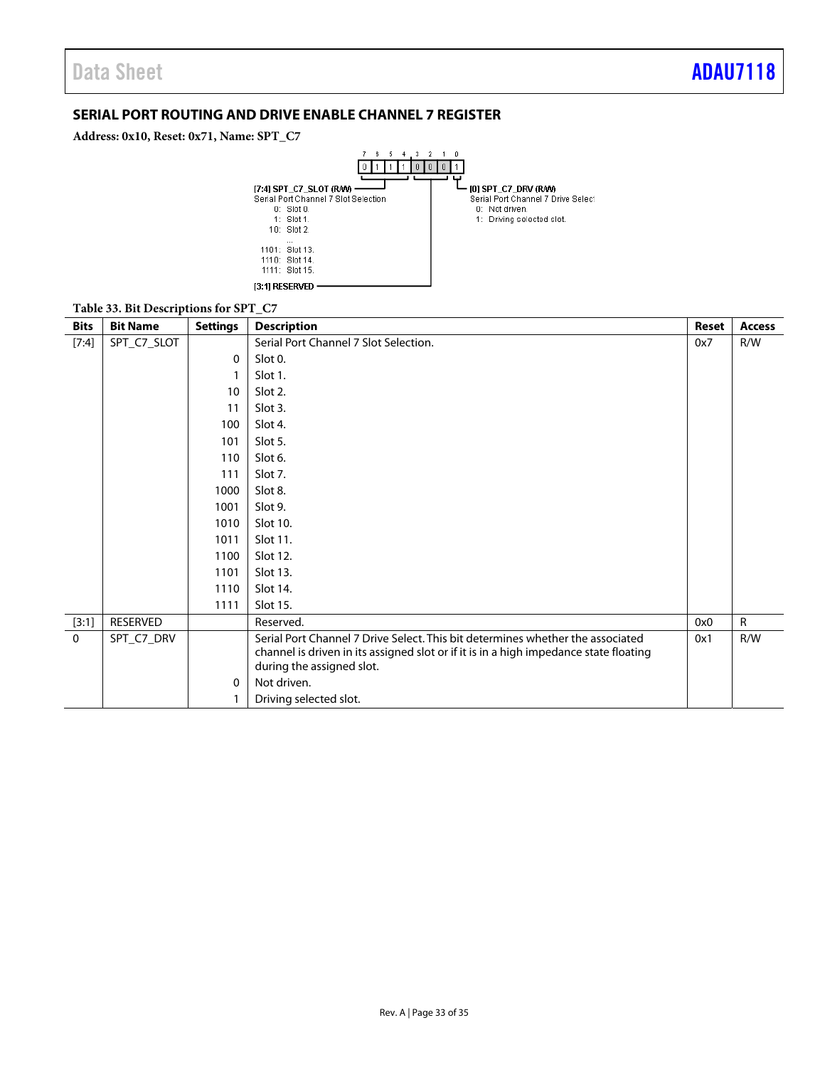### <span id="page-32-0"></span>**SERIAL PORT ROUTING AND DRIVE ENABLE CHANNEL 7 REGISTER**

**Address: 0x10, Reset: 0x71, Name: SPT\_C7**

![](_page_32_Figure_4.jpeg)

### **Table 33. Bit Descriptions for SPT\_C7**

| <b>Bits</b> | <b>Bit Name</b> | <b>Settings</b> | <b>Description</b>                                                                    | <b>Reset</b> | <b>Access</b> |
|-------------|-----------------|-----------------|---------------------------------------------------------------------------------------|--------------|---------------|
| [7:4]       | SPT_C7_SLOT     |                 | Serial Port Channel 7 Slot Selection.                                                 | 0x7          | R/W           |
|             |                 | $\Omega$        | Slot 0.                                                                               |              |               |
|             |                 |                 | Slot 1.                                                                               |              |               |
|             |                 | 10              | Slot 2.                                                                               |              |               |
|             |                 | 11              | Slot 3.                                                                               |              |               |
|             |                 | 100             | Slot 4.                                                                               |              |               |
|             |                 | 101             | Slot 5.                                                                               |              |               |
|             |                 | 110             | Slot 6.                                                                               |              |               |
|             |                 | 111             | Slot 7.                                                                               |              |               |
|             |                 | 1000            | Slot 8.                                                                               |              |               |
|             |                 | 1001            | Slot 9.                                                                               |              |               |
|             |                 | 1010            | Slot 10.                                                                              |              |               |
|             |                 | 1011            | Slot 11.                                                                              |              |               |
|             |                 | 1100            | Slot 12.                                                                              |              |               |
|             |                 | 1101            | Slot 13.                                                                              |              |               |
|             |                 | 1110            | Slot 14.                                                                              |              |               |
|             |                 | 1111            | Slot 15.                                                                              |              |               |
| [3:1]       | RESERVED        |                 | Reserved.                                                                             | 0x0          | $\mathsf{R}$  |
| $\mathbf 0$ | SPT_C7_DRV      |                 | Serial Port Channel 7 Drive Select. This bit determines whether the associated        | 0x1          | R/W           |
|             |                 |                 | channel is driven in its assigned slot or if it is in a high impedance state floating |              |               |
|             |                 |                 | during the assigned slot.                                                             |              |               |
|             |                 | $\mathbf{0}$    | Not driven.                                                                           |              |               |
|             |                 |                 | Driving selected slot.                                                                |              |               |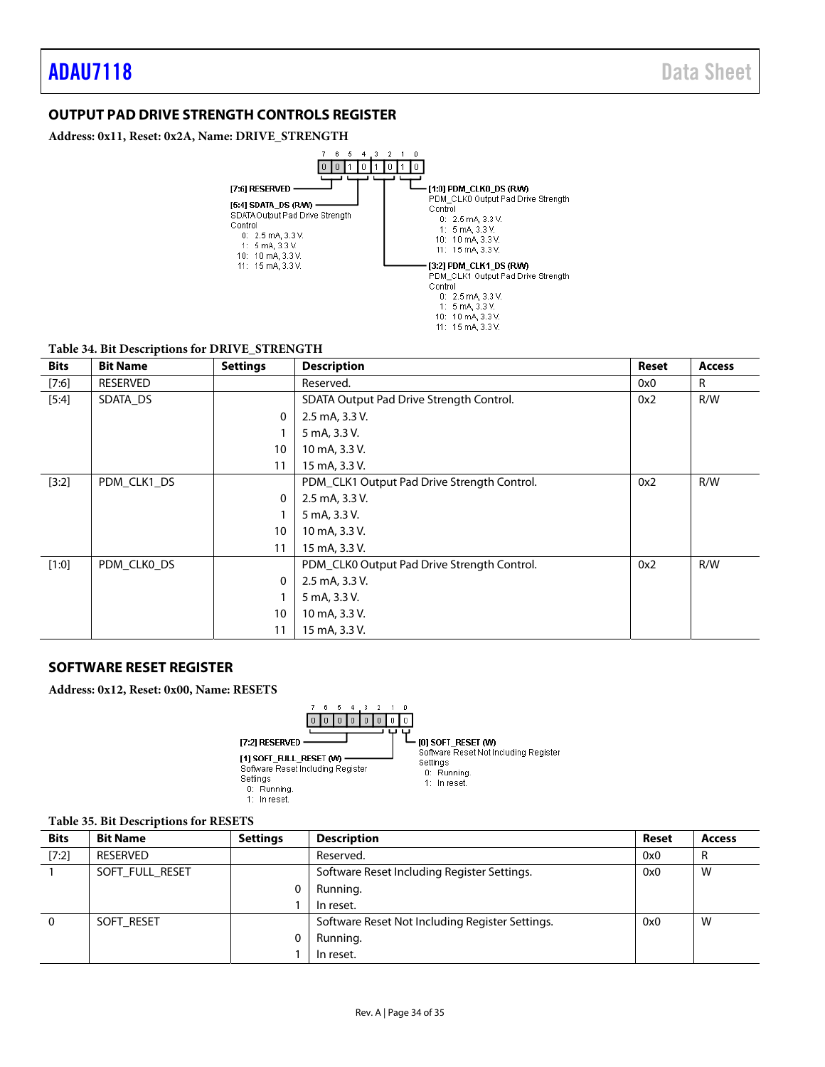### <span id="page-33-0"></span>**OUTPUT PAD DRIVE STRENGTH CONTROLS REGISTER**

**Address: 0x11, Reset: 0x2A, Name: DRIVE\_STRENGTH**

![](_page_33_Figure_4.jpeg)

### **Table 34. Bit Descriptions for DRIVE\_STRENGTH**

| <b>Bits</b> | <b>Bit Name</b> | <b>Settings</b> | <b>Description</b>                          | <b>Reset</b> | <b>Access</b> |
|-------------|-----------------|-----------------|---------------------------------------------|--------------|---------------|
| [7:6]       | RESERVED        |                 | Reserved.                                   | 0x0          | R             |
| $[5:4]$     | SDATA_DS        |                 | SDATA Output Pad Drive Strength Control.    | 0x2          | R/W           |
|             |                 | $\mathbf 0$     | 2.5 mA, 3.3 V.                              |              |               |
|             |                 |                 | 5 mA, 3.3 V.                                |              |               |
|             |                 | 10              | 10 mA, 3.3 V.                               |              |               |
|             |                 | 11              | 15 mA, 3.3 V.                               |              |               |
| [3:2]       | PDM_CLK1_DS     |                 | PDM_CLK1 Output Pad Drive Strength Control. | 0x2          | R/W           |
|             |                 | $\mathbf 0$     | 2.5 mA, 3.3 V.                              |              |               |
|             |                 |                 | 5 mA, 3.3 V.                                |              |               |
|             |                 | 10              | 10 mA, 3.3 V.                               |              |               |
|             |                 | 11              | 15 mA, 3.3 V.                               |              |               |
| [1:0]       | PDM CLKO DS     |                 | PDM_CLK0 Output Pad Drive Strength Control. | 0x2          | R/W           |
|             |                 | $\mathbf 0$     | 2.5 mA, 3.3 V.                              |              |               |
|             |                 |                 | 5 mA, 3.3 V.                                |              |               |
|             |                 | 10              | 10 mA, 3.3 V.                               |              |               |
|             |                 | 11              | 15 mA, 3.3 V.                               |              |               |

### **SOFTWARE RESET REGISTER**

**Address: 0x12, Reset: 0x00, Name: RESETS**

![](_page_33_Figure_9.jpeg)

#### **Table 35. Bit Descriptions for RESETS**

| <b>Bits</b> | <b>Bit Name</b> | <b>Settings</b> | <b>Description</b>                              | Reset | <b>Access</b> |
|-------------|-----------------|-----------------|-------------------------------------------------|-------|---------------|
| [7:2]       | <b>RESERVED</b> |                 | Reserved.                                       | 0x0   | R             |
|             | SOFT FULL RESET |                 | Software Reset Including Register Settings.     | 0x0   | W             |
|             |                 |                 | Running.                                        |       |               |
|             |                 |                 | In reset.                                       |       |               |
| 0           | SOFT RESET      |                 | Software Reset Not Including Register Settings. | 0x0   | W             |
|             |                 |                 | Running.                                        |       |               |
|             |                 |                 | In reset.                                       |       |               |